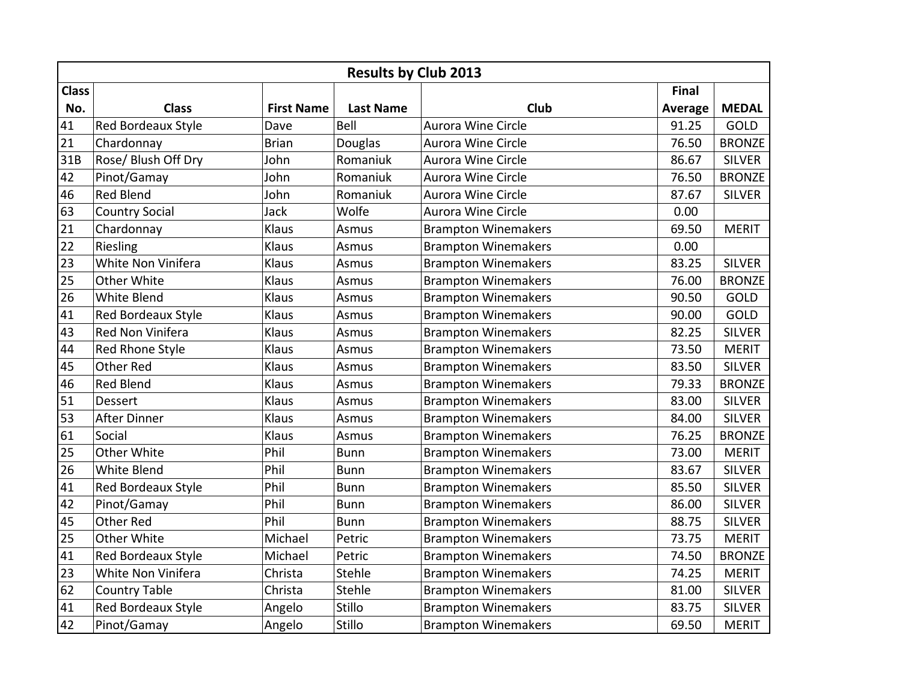|              | <b>Results by Club 2013</b> |                   |                  |                            |                |               |  |  |  |  |
|--------------|-----------------------------|-------------------|------------------|----------------------------|----------------|---------------|--|--|--|--|
| <b>Class</b> |                             |                   |                  |                            | Final          |               |  |  |  |  |
| No.          | <b>Class</b>                | <b>First Name</b> | <b>Last Name</b> | Club                       | <b>Average</b> | <b>MEDAL</b>  |  |  |  |  |
| 41           | Red Bordeaux Style          | Dave              | Bell             | Aurora Wine Circle         | 91.25          | GOLD          |  |  |  |  |
| 21           | Chardonnay                  | <b>Brian</b>      | <b>Douglas</b>   | Aurora Wine Circle         | 76.50          | <b>BRONZE</b> |  |  |  |  |
| 31B          | Rose/ Blush Off Dry         | John              | Romaniuk         | Aurora Wine Circle         | 86.67          | <b>SILVER</b> |  |  |  |  |
| 42           | Pinot/Gamay                 | John              | Romaniuk         | Aurora Wine Circle         | 76.50          | <b>BRONZE</b> |  |  |  |  |
| 46           | <b>Red Blend</b>            | John              | Romaniuk         | Aurora Wine Circle         | 87.67          | <b>SILVER</b> |  |  |  |  |
| 63           | <b>Country Social</b>       | Jack              | Wolfe            | Aurora Wine Circle         | 0.00           |               |  |  |  |  |
| 21           | Chardonnay                  | Klaus             | Asmus            | <b>Brampton Winemakers</b> | 69.50          | <b>MERIT</b>  |  |  |  |  |
| 22           | Riesling                    | Klaus             | Asmus            | <b>Brampton Winemakers</b> | 0.00           |               |  |  |  |  |
| 23           | White Non Vinifera          | Klaus             | Asmus            | <b>Brampton Winemakers</b> | 83.25          | <b>SILVER</b> |  |  |  |  |
| 25           | Other White                 | Klaus             | Asmus            | <b>Brampton Winemakers</b> | 76.00          | <b>BRONZE</b> |  |  |  |  |
| 26           | <b>White Blend</b>          | Klaus             | Asmus            | <b>Brampton Winemakers</b> | 90.50          | GOLD          |  |  |  |  |
| 41           | <b>Red Bordeaux Style</b>   | Klaus             | Asmus            | <b>Brampton Winemakers</b> | 90.00          | <b>GOLD</b>   |  |  |  |  |
| 43           | Red Non Vinifera            | Klaus             | Asmus            | <b>Brampton Winemakers</b> | 82.25          | <b>SILVER</b> |  |  |  |  |
| 44           | Red Rhone Style             | Klaus             | Asmus            | <b>Brampton Winemakers</b> | 73.50          | <b>MERIT</b>  |  |  |  |  |
| 45           | <b>Other Red</b>            | Klaus             | Asmus            | <b>Brampton Winemakers</b> | 83.50          | <b>SILVER</b> |  |  |  |  |
| 46           | <b>Red Blend</b>            | Klaus             | Asmus            | <b>Brampton Winemakers</b> | 79.33          | <b>BRONZE</b> |  |  |  |  |
| 51           | <b>Dessert</b>              | Klaus             | Asmus            | <b>Brampton Winemakers</b> | 83.00          | <b>SILVER</b> |  |  |  |  |
| 53           | <b>After Dinner</b>         | Klaus             | Asmus            | <b>Brampton Winemakers</b> | 84.00          | <b>SILVER</b> |  |  |  |  |
| 61           | Social                      | Klaus             | Asmus            | <b>Brampton Winemakers</b> | 76.25          | <b>BRONZE</b> |  |  |  |  |
| 25           | Other White                 | Phil              | <b>Bunn</b>      | <b>Brampton Winemakers</b> | 73.00          | <b>MERIT</b>  |  |  |  |  |
| 26           | White Blend                 | Phil              | <b>Bunn</b>      | <b>Brampton Winemakers</b> | 83.67          | <b>SILVER</b> |  |  |  |  |
| 41           | Red Bordeaux Style          | Phil              | <b>Bunn</b>      | <b>Brampton Winemakers</b> | 85.50          | <b>SILVER</b> |  |  |  |  |
| 42           | Pinot/Gamay                 | Phil              | <b>Bunn</b>      | <b>Brampton Winemakers</b> | 86.00          | <b>SILVER</b> |  |  |  |  |
| 45           | <b>Other Red</b>            | Phil              | <b>Bunn</b>      | <b>Brampton Winemakers</b> | 88.75          | <b>SILVER</b> |  |  |  |  |
| 25           | Other White                 | Michael           | Petric           | <b>Brampton Winemakers</b> | 73.75          | <b>MERIT</b>  |  |  |  |  |
| 41           | Red Bordeaux Style          | Michael           | Petric           | <b>Brampton Winemakers</b> | 74.50          | <b>BRONZE</b> |  |  |  |  |
| 23           | White Non Vinifera          | Christa           | Stehle           | <b>Brampton Winemakers</b> | 74.25          | <b>MERIT</b>  |  |  |  |  |
| 62           | <b>Country Table</b>        | Christa           | Stehle           | <b>Brampton Winemakers</b> | 81.00          | <b>SILVER</b> |  |  |  |  |
| 41           | Red Bordeaux Style          | Angelo            | Stillo           | <b>Brampton Winemakers</b> | 83.75          | <b>SILVER</b> |  |  |  |  |
| 42           | Pinot/Gamay                 | Angelo            | Stillo           | <b>Brampton Winemakers</b> | 69.50          | <b>MERIT</b>  |  |  |  |  |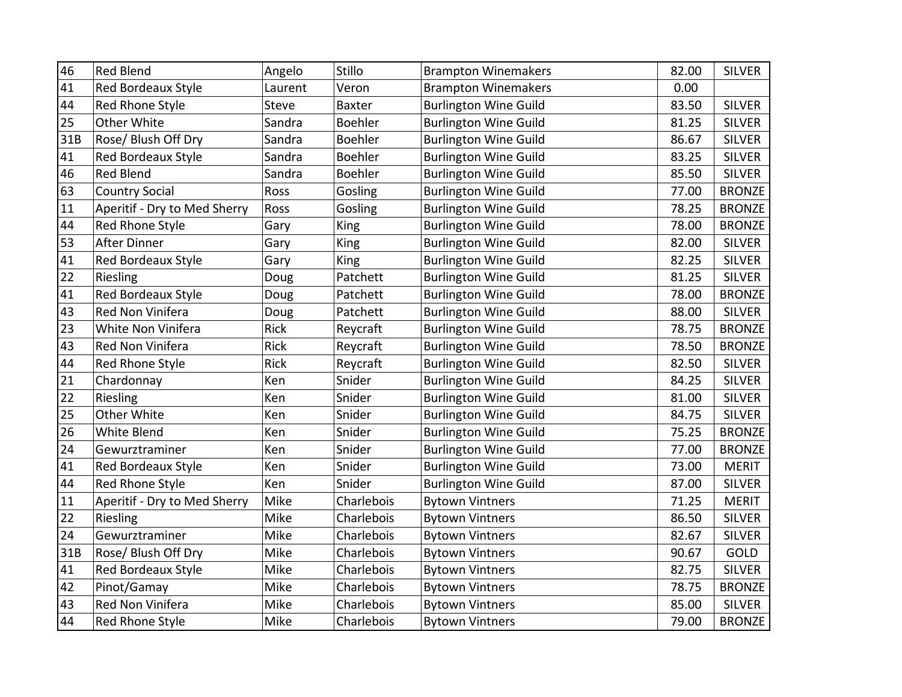| 46  | <b>Red Blend</b>             | Angelo       | Stillo     | <b>Brampton Winemakers</b>   | 82.00 | <b>SILVER</b> |
|-----|------------------------------|--------------|------------|------------------------------|-------|---------------|
| 41  | <b>Red Bordeaux Style</b>    | Laurent      | Veron      | <b>Brampton Winemakers</b>   | 0.00  |               |
| 44  | Red Rhone Style              | <b>Steve</b> | Baxter     | <b>Burlington Wine Guild</b> | 83.50 | <b>SILVER</b> |
| 25  | Other White                  | Sandra       | Boehler    | <b>Burlington Wine Guild</b> | 81.25 | <b>SILVER</b> |
| 31B | Rose/ Blush Off Dry          | Sandra       | Boehler    | <b>Burlington Wine Guild</b> | 86.67 | <b>SILVER</b> |
| 41  | Red Bordeaux Style           | Sandra       | Boehler    | <b>Burlington Wine Guild</b> | 83.25 | <b>SILVER</b> |
| 46  | <b>Red Blend</b>             | Sandra       | Boehler    | <b>Burlington Wine Guild</b> | 85.50 | <b>SILVER</b> |
| 63  | <b>Country Social</b>        | Ross         | Gosling    | <b>Burlington Wine Guild</b> | 77.00 | <b>BRONZE</b> |
| 11  | Aperitif - Dry to Med Sherry | Ross         | Gosling    | <b>Burlington Wine Guild</b> | 78.25 | <b>BRONZE</b> |
| 44  | Red Rhone Style              | Gary         | King       | <b>Burlington Wine Guild</b> | 78.00 | <b>BRONZE</b> |
| 53  | <b>After Dinner</b>          | Gary         | King       | <b>Burlington Wine Guild</b> | 82.00 | <b>SILVER</b> |
| 41  | Red Bordeaux Style           | Gary         | King       | <b>Burlington Wine Guild</b> | 82.25 | <b>SILVER</b> |
| 22  | Riesling                     | Doug         | Patchett   | <b>Burlington Wine Guild</b> | 81.25 | <b>SILVER</b> |
| 41  | Red Bordeaux Style           | Doug         | Patchett   | <b>Burlington Wine Guild</b> | 78.00 | <b>BRONZE</b> |
| 43  | Red Non Vinifera             | Doug         | Patchett   | <b>Burlington Wine Guild</b> | 88.00 | SILVER        |
| 23  | White Non Vinifera           | Rick         | Reycraft   | <b>Burlington Wine Guild</b> | 78.75 | <b>BRONZE</b> |
| 43  | Red Non Vinifera             | Rick         | Reycraft   | <b>Burlington Wine Guild</b> | 78.50 | <b>BRONZE</b> |
| 44  | Red Rhone Style              | Rick         | Reycraft   | <b>Burlington Wine Guild</b> | 82.50 | <b>SILVER</b> |
| 21  | Chardonnay                   | Ken          | Snider     | <b>Burlington Wine Guild</b> | 84.25 | <b>SILVER</b> |
| 22  | Riesling                     | Ken          | Snider     | <b>Burlington Wine Guild</b> | 81.00 | <b>SILVER</b> |
| 25  | Other White                  | Ken          | Snider     | <b>Burlington Wine Guild</b> | 84.75 | <b>SILVER</b> |
| 26  | White Blend                  | Ken          | Snider     | <b>Burlington Wine Guild</b> | 75.25 | <b>BRONZE</b> |
| 24  | Gewurztraminer               | Ken          | Snider     | <b>Burlington Wine Guild</b> | 77.00 | <b>BRONZE</b> |
| 41  | <b>Red Bordeaux Style</b>    | Ken          | Snider     | <b>Burlington Wine Guild</b> | 73.00 | <b>MERIT</b>  |
| 44  | Red Rhone Style              | Ken          | Snider     | <b>Burlington Wine Guild</b> | 87.00 | <b>SILVER</b> |
| 11  | Aperitif - Dry to Med Sherry | Mike         | Charlebois | <b>Bytown Vintners</b>       | 71.25 | <b>MERIT</b>  |
| 22  | Riesling                     | Mike         | Charlebois | <b>Bytown Vintners</b>       | 86.50 | <b>SILVER</b> |
| 24  | Gewurztraminer               | Mike         | Charlebois | <b>Bytown Vintners</b>       | 82.67 | <b>SILVER</b> |
| 31B | Rose/ Blush Off Dry          | Mike         | Charlebois | <b>Bytown Vintners</b>       | 90.67 | GOLD          |
| 41  | <b>Red Bordeaux Style</b>    | Mike         | Charlebois | <b>Bytown Vintners</b>       | 82.75 | <b>SILVER</b> |
| 42  | Pinot/Gamay                  | Mike         | Charlebois | <b>Bytown Vintners</b>       | 78.75 | <b>BRONZE</b> |
| 43  | Red Non Vinifera             | Mike         | Charlebois | <b>Bytown Vintners</b>       | 85.00 | <b>SILVER</b> |
| 44  | Red Rhone Style              | Mike         | Charlebois | <b>Bytown Vintners</b>       | 79.00 | <b>BRONZE</b> |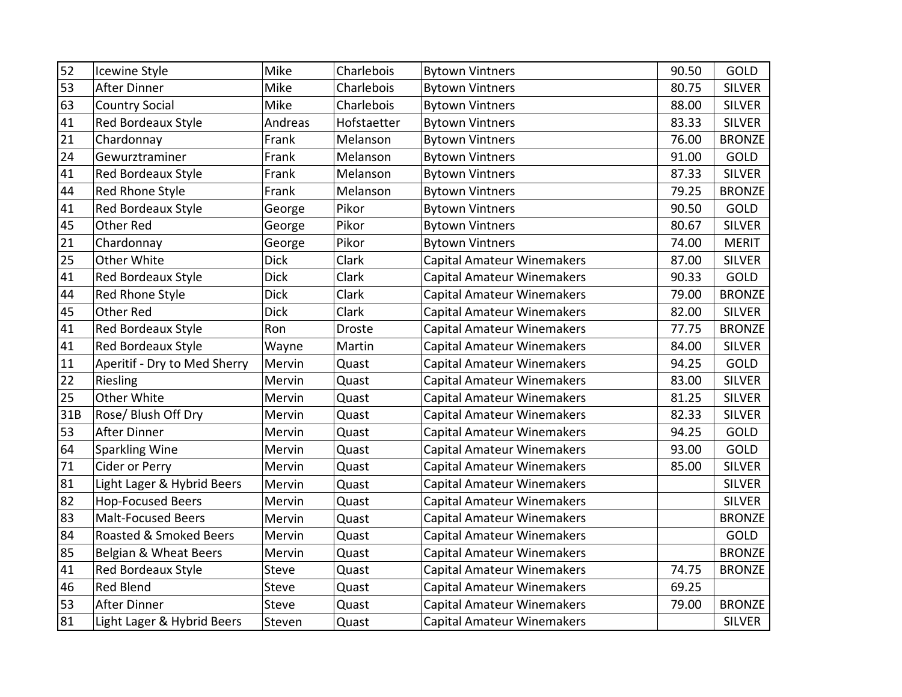| 52  | Icewine Style                | Mike        | Charlebois  | <b>Bytown Vintners</b>            | 90.50 | GOLD          |
|-----|------------------------------|-------------|-------------|-----------------------------------|-------|---------------|
| 53  | <b>After Dinner</b>          | Mike        | Charlebois  | <b>Bytown Vintners</b>            | 80.75 | <b>SILVER</b> |
| 63  | <b>Country Social</b>        | Mike        | Charlebois  | <b>Bytown Vintners</b>            | 88.00 | <b>SILVER</b> |
| 41  | Red Bordeaux Style           | Andreas     | Hofstaetter | <b>Bytown Vintners</b>            | 83.33 | <b>SILVER</b> |
| 21  | Chardonnay                   | Frank       | Melanson    | <b>Bytown Vintners</b>            | 76.00 | <b>BRONZE</b> |
| 24  | Gewurztraminer               | Frank       | Melanson    | <b>Bytown Vintners</b>            | 91.00 | <b>GOLD</b>   |
| 41  | <b>Red Bordeaux Style</b>    | Frank       | Melanson    | <b>Bytown Vintners</b>            | 87.33 | <b>SILVER</b> |
| 44  | Red Rhone Style              | Frank       | Melanson    | <b>Bytown Vintners</b>            | 79.25 | <b>BRONZE</b> |
| 41  | Red Bordeaux Style           | George      | Pikor       | <b>Bytown Vintners</b>            | 90.50 | <b>GOLD</b>   |
| 45  | Other Red                    | George      | Pikor       | <b>Bytown Vintners</b>            | 80.67 | <b>SILVER</b> |
| 21  | Chardonnay                   | George      | Pikor       | <b>Bytown Vintners</b>            | 74.00 | <b>MERIT</b>  |
| 25  | Other White                  | <b>Dick</b> | Clark       | <b>Capital Amateur Winemakers</b> | 87.00 | <b>SILVER</b> |
| 41  | Red Bordeaux Style           | <b>Dick</b> | Clark       | Capital Amateur Winemakers        | 90.33 | GOLD          |
| 44  | Red Rhone Style              | <b>Dick</b> | Clark       | <b>Capital Amateur Winemakers</b> | 79.00 | <b>BRONZE</b> |
| 45  | Other Red                    | <b>Dick</b> | Clark       | <b>Capital Amateur Winemakers</b> | 82.00 | <b>SILVER</b> |
| 41  | Red Bordeaux Style           | Ron         | Droste      | <b>Capital Amateur Winemakers</b> | 77.75 | <b>BRONZE</b> |
| 41  | Red Bordeaux Style           | Wayne       | Martin      | <b>Capital Amateur Winemakers</b> | 84.00 | <b>SILVER</b> |
| 11  | Aperitif - Dry to Med Sherry | Mervin      | Quast       | <b>Capital Amateur Winemakers</b> | 94.25 | GOLD          |
| 22  | Riesling                     | Mervin      | Quast       | <b>Capital Amateur Winemakers</b> | 83.00 | <b>SILVER</b> |
| 25  | Other White                  | Mervin      | Quast       | Capital Amateur Winemakers        | 81.25 | <b>SILVER</b> |
| 31B | Rose/ Blush Off Dry          | Mervin      | Quast       | <b>Capital Amateur Winemakers</b> | 82.33 | <b>SILVER</b> |
| 53  | After Dinner                 | Mervin      | Quast       | <b>Capital Amateur Winemakers</b> | 94.25 | GOLD          |
| 64  | <b>Sparkling Wine</b>        | Mervin      | Quast       | Capital Amateur Winemakers        | 93.00 | GOLD          |
| 71  | Cider or Perry               | Mervin      | Quast       | <b>Capital Amateur Winemakers</b> | 85.00 | <b>SILVER</b> |
| 81  | Light Lager & Hybrid Beers   | Mervin      | Quast       | <b>Capital Amateur Winemakers</b> |       | <b>SILVER</b> |
| 82  | <b>Hop-Focused Beers</b>     | Mervin      | Quast       | <b>Capital Amateur Winemakers</b> |       | <b>SILVER</b> |
| 83  | <b>Malt-Focused Beers</b>    | Mervin      | Quast       | <b>Capital Amateur Winemakers</b> |       | <b>BRONZE</b> |
| 84  | Roasted & Smoked Beers       | Mervin      | Quast       | <b>Capital Amateur Winemakers</b> |       | <b>GOLD</b>   |
| 85  | Belgian & Wheat Beers        | Mervin      | Quast       | <b>Capital Amateur Winemakers</b> |       | <b>BRONZE</b> |
| 41  | <b>Red Bordeaux Style</b>    | Steve       | Quast       | <b>Capital Amateur Winemakers</b> | 74.75 | <b>BRONZE</b> |
| 46  | <b>Red Blend</b>             | Steve       | Quast       | <b>Capital Amateur Winemakers</b> | 69.25 |               |
| 53  | <b>After Dinner</b>          | Steve       | Quast       | <b>Capital Amateur Winemakers</b> | 79.00 | <b>BRONZE</b> |
| 81  | Light Lager & Hybrid Beers   | Steven      | Quast       | <b>Capital Amateur Winemakers</b> |       | SILVER        |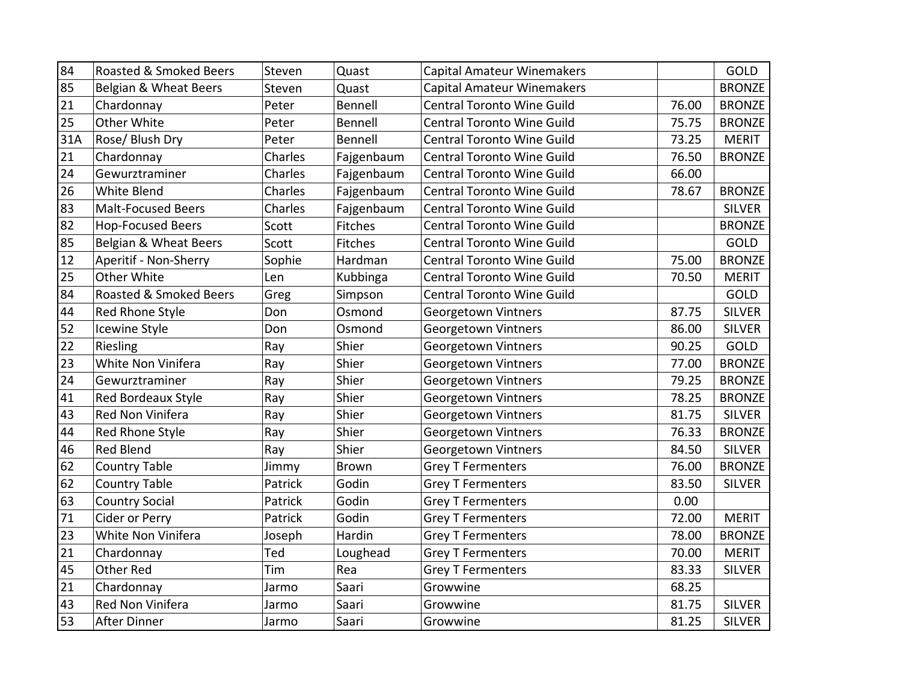| 84  | Roasted & Smoked Beers    | Steven  | Quast          | <b>Capital Amateur Winemakers</b> |       | GOLD          |
|-----|---------------------------|---------|----------------|-----------------------------------|-------|---------------|
| 85  | Belgian & Wheat Beers     | Steven  | Quast          | <b>Capital Amateur Winemakers</b> |       | <b>BRONZE</b> |
| 21  | Chardonnay                | Peter   | Bennell        | <b>Central Toronto Wine Guild</b> | 76.00 | <b>BRONZE</b> |
| 25  | Other White               | Peter   | Bennell        | <b>Central Toronto Wine Guild</b> | 75.75 | <b>BRONZE</b> |
| 31A | Rose/ Blush Dry           | Peter   | Bennell        | <b>Central Toronto Wine Guild</b> | 73.25 | <b>MERIT</b>  |
| 21  | Chardonnay                | Charles | Fajgenbaum     | <b>Central Toronto Wine Guild</b> | 76.50 | <b>BRONZE</b> |
| 24  | Gewurztraminer            | Charles | Fajgenbaum     | <b>Central Toronto Wine Guild</b> | 66.00 |               |
| 26  | <b>White Blend</b>        | Charles | Fajgenbaum     | <b>Central Toronto Wine Guild</b> | 78.67 | <b>BRONZE</b> |
| 83  | <b>Malt-Focused Beers</b> | Charles | Fajgenbaum     | Central Toronto Wine Guild        |       | <b>SILVER</b> |
| 82  | <b>Hop-Focused Beers</b>  | Scott   | <b>Fitches</b> | <b>Central Toronto Wine Guild</b> |       | <b>BRONZE</b> |
| 85  | Belgian & Wheat Beers     | Scott   | Fitches        | <b>Central Toronto Wine Guild</b> |       | GOLD          |
| 12  | Aperitif - Non-Sherry     | Sophie  | Hardman        | <b>Central Toronto Wine Guild</b> | 75.00 | <b>BRONZE</b> |
| 25  | Other White               | Len     | Kubbinga       | <b>Central Toronto Wine Guild</b> | 70.50 | <b>MERIT</b>  |
| 84  | Roasted & Smoked Beers    | Greg    | Simpson        | <b>Central Toronto Wine Guild</b> |       | GOLD          |
| 44  | Red Rhone Style           | Don     | Osmond         | Georgetown Vintners               | 87.75 | <b>SILVER</b> |
| 52  | Icewine Style             | Don     | Osmond         | Georgetown Vintners               | 86.00 | <b>SILVER</b> |
| 22  | Riesling                  | Ray     | Shier          | Georgetown Vintners               | 90.25 | GOLD          |
| 23  | White Non Vinifera        | Ray     | Shier          | Georgetown Vintners               | 77.00 | <b>BRONZE</b> |
| 24  | Gewurztraminer            | Ray     | Shier          | Georgetown Vintners               | 79.25 | <b>BRONZE</b> |
| 41  | Red Bordeaux Style        | Ray     | Shier          | Georgetown Vintners               | 78.25 | <b>BRONZE</b> |
| 43  | Red Non Vinifera          | Ray     | Shier          | Georgetown Vintners               | 81.75 | <b>SILVER</b> |
| 44  | Red Rhone Style           | Ray     | Shier          | Georgetown Vintners               | 76.33 | <b>BRONZE</b> |
| 46  | <b>Red Blend</b>          | Ray     | Shier          | Georgetown Vintners               | 84.50 | <b>SILVER</b> |
| 62  | <b>Country Table</b>      | Jimmy   | <b>Brown</b>   | <b>Grey T Fermenters</b>          | 76.00 | <b>BRONZE</b> |
| 62  | <b>Country Table</b>      | Patrick | Godin          | <b>Grey T Fermenters</b>          | 83.50 | <b>SILVER</b> |
| 63  | <b>Country Social</b>     | Patrick | Godin          | <b>Grey T Fermenters</b>          | 0.00  |               |
| 71  | Cider or Perry            | Patrick | Godin          | <b>Grey T Fermenters</b>          | 72.00 | <b>MERIT</b>  |
| 23  | White Non Vinifera        | Joseph  | Hardin         | <b>Grey T Fermenters</b>          | 78.00 | <b>BRONZE</b> |
| 21  | Chardonnay                | Ted     | Loughead       | <b>Grey T Fermenters</b>          | 70.00 | <b>MERIT</b>  |
| 45  | <b>Other Red</b>          | Tim     | Rea            | <b>Grey T Fermenters</b>          | 83.33 | <b>SILVER</b> |
| 21  | Chardonnay                | Jarmo   | Saari          | Growwine                          | 68.25 |               |
| 43  | Red Non Vinifera          | Jarmo   | Saari          | Growwine                          | 81.75 | <b>SILVER</b> |
| 53  | After Dinner              | Jarmo   | Saari          | Growwine                          | 81.25 | <b>SILVER</b> |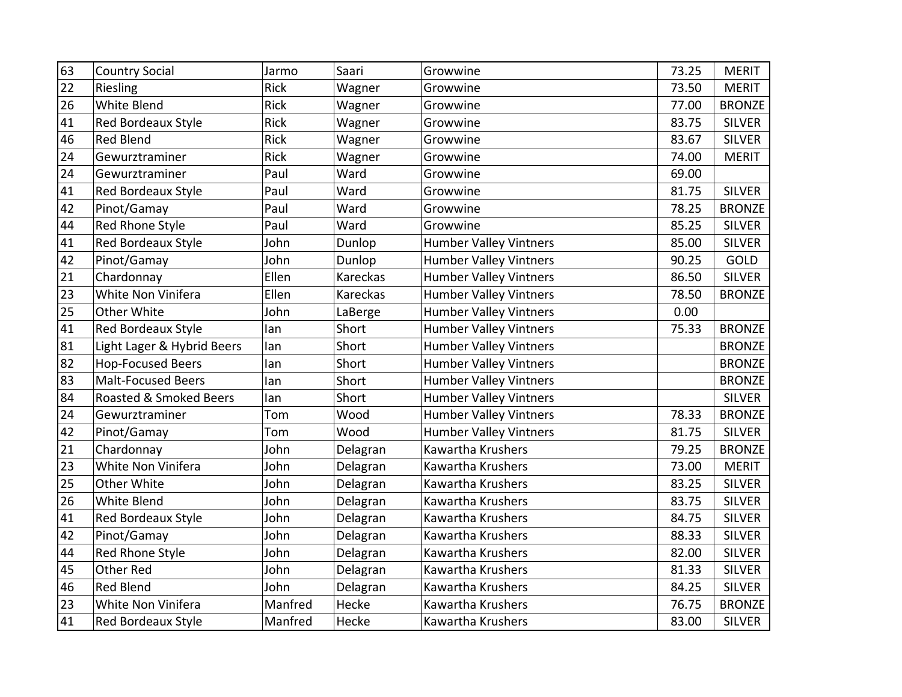| 63 | <b>Country Social</b>      | Jarmo       | Saari    | Growwine                      | 73.25 | <b>MERIT</b>  |
|----|----------------------------|-------------|----------|-------------------------------|-------|---------------|
| 22 | Riesling                   | <b>Rick</b> | Wagner   | Growwine                      | 73.50 | <b>MERIT</b>  |
| 26 | White Blend                | <b>Rick</b> | Wagner   | Growwine                      | 77.00 | <b>BRONZE</b> |
| 41 | <b>Red Bordeaux Style</b>  | <b>Rick</b> | Wagner   | Growwine                      | 83.75 | <b>SILVER</b> |
| 46 | <b>Red Blend</b>           | <b>Rick</b> | Wagner   | Growwine                      | 83.67 | <b>SILVER</b> |
| 24 | Gewurztraminer             | <b>Rick</b> | Wagner   | Growwine                      | 74.00 | <b>MERIT</b>  |
| 24 | Gewurztraminer             | Paul        | Ward     | Growwine                      | 69.00 |               |
| 41 | Red Bordeaux Style         | Paul        | Ward     | Growwine                      | 81.75 | <b>SILVER</b> |
| 42 | Pinot/Gamay                | Paul        | Ward     | Growwine                      | 78.25 | <b>BRONZE</b> |
| 44 | Red Rhone Style            | Paul        | Ward     | Growwine                      | 85.25 | <b>SILVER</b> |
| 41 | Red Bordeaux Style         | John        | Dunlop   | <b>Humber Valley Vintners</b> | 85.00 | <b>SILVER</b> |
| 42 | Pinot/Gamay                | John        | Dunlop   | <b>Humber Valley Vintners</b> | 90.25 | <b>GOLD</b>   |
| 21 | Chardonnay                 | Ellen       | Kareckas | <b>Humber Valley Vintners</b> | 86.50 | <b>SILVER</b> |
| 23 | White Non Vinifera         | Ellen       | Kareckas | <b>Humber Valley Vintners</b> | 78.50 | <b>BRONZE</b> |
| 25 | Other White                | John        | LaBerge  | <b>Humber Valley Vintners</b> | 0.00  |               |
| 41 | Red Bordeaux Style         | lan         | Short    | <b>Humber Valley Vintners</b> | 75.33 | <b>BRONZE</b> |
| 81 | Light Lager & Hybrid Beers | lan         | Short    | <b>Humber Valley Vintners</b> |       | <b>BRONZE</b> |
| 82 | <b>Hop-Focused Beers</b>   | lan         | Short    | <b>Humber Valley Vintners</b> |       | <b>BRONZE</b> |
| 83 | <b>Malt-Focused Beers</b>  | lan         | Short    | <b>Humber Valley Vintners</b> |       | <b>BRONZE</b> |
| 84 | Roasted & Smoked Beers     | lan         | Short    | <b>Humber Valley Vintners</b> |       | <b>SILVER</b> |
| 24 | Gewurztraminer             | Tom         | Wood     | <b>Humber Valley Vintners</b> | 78.33 | <b>BRONZE</b> |
| 42 | Pinot/Gamay                | Tom         | Wood     | <b>Humber Valley Vintners</b> | 81.75 | <b>SILVER</b> |
| 21 | Chardonnay                 | John        | Delagran | Kawartha Krushers             | 79.25 | <b>BRONZE</b> |
| 23 | White Non Vinifera         | John        | Delagran | Kawartha Krushers             | 73.00 | <b>MERIT</b>  |
| 25 | Other White                | John        | Delagran | Kawartha Krushers             | 83.25 | <b>SILVER</b> |
| 26 | White Blend                | John        | Delagran | Kawartha Krushers             | 83.75 | <b>SILVER</b> |
| 41 | <b>Red Bordeaux Style</b>  | John        | Delagran | Kawartha Krushers             | 84.75 | <b>SILVER</b> |
| 42 | Pinot/Gamay                | John        | Delagran | Kawartha Krushers             | 88.33 | <b>SILVER</b> |
| 44 | <b>Red Rhone Style</b>     | John        | Delagran | Kawartha Krushers             | 82.00 | <b>SILVER</b> |
| 45 | Other Red                  | John        | Delagran | Kawartha Krushers             | 81.33 | <b>SILVER</b> |
| 46 | <b>Red Blend</b>           | John        | Delagran | Kawartha Krushers             | 84.25 | <b>SILVER</b> |
| 23 | White Non Vinifera         | Manfred     | Hecke    | Kawartha Krushers             | 76.75 | <b>BRONZE</b> |
| 41 | <b>Red Bordeaux Style</b>  | Manfred     | Hecke    | Kawartha Krushers             | 83.00 | <b>SILVER</b> |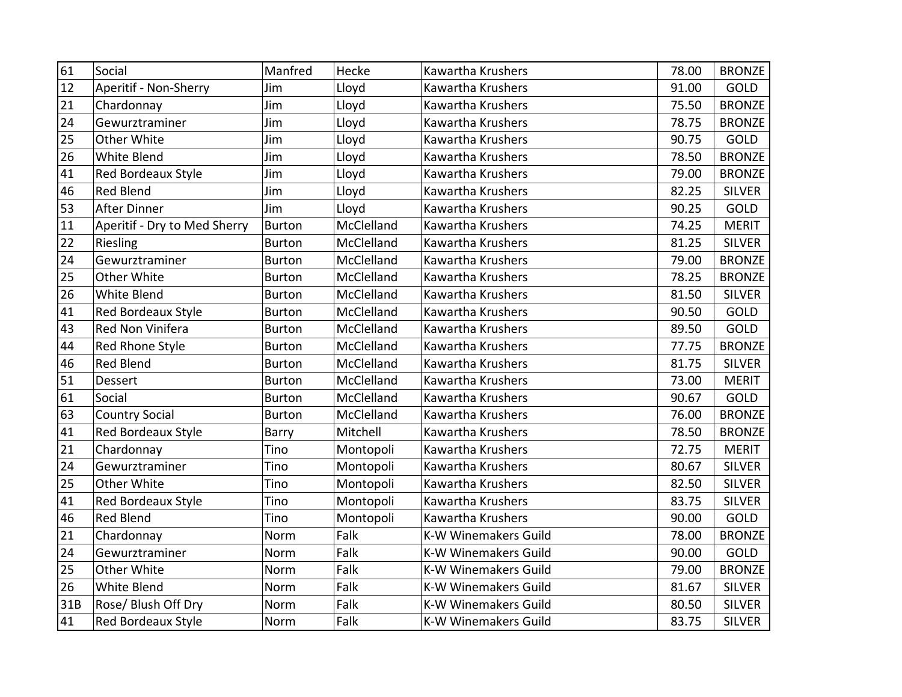| 61  | Social                       | Manfred       | Hecke      | Kawartha Krushers           | 78.00 | <b>BRONZE</b> |
|-----|------------------------------|---------------|------------|-----------------------------|-------|---------------|
| 12  | Aperitif - Non-Sherry        | Jim           | Lloyd      | Kawartha Krushers           | 91.00 | <b>GOLD</b>   |
| 21  | Chardonnay                   | Jim           | Lloyd      | Kawartha Krushers           | 75.50 | <b>BRONZE</b> |
| 24  | Gewurztraminer               | Jim           | Lloyd      | Kawartha Krushers           | 78.75 | <b>BRONZE</b> |
| 25  | Other White                  | Jim           | Lloyd      | Kawartha Krushers           | 90.75 | GOLD          |
| 26  | <b>White Blend</b>           | Jim           | Lloyd      | Kawartha Krushers           | 78.50 | <b>BRONZE</b> |
| 41  | <b>Red Bordeaux Style</b>    | Jim           | Lloyd      | Kawartha Krushers           | 79.00 | <b>BRONZE</b> |
| 46  | <b>Red Blend</b>             | Jim           | Lloyd      | Kawartha Krushers           | 82.25 | <b>SILVER</b> |
| 53  | <b>After Dinner</b>          | Jim           | Lloyd      | Kawartha Krushers           | 90.25 | GOLD          |
| 11  | Aperitif - Dry to Med Sherry | <b>Burton</b> | McClelland | Kawartha Krushers           | 74.25 | <b>MERIT</b>  |
| 22  | Riesling                     | <b>Burton</b> | McClelland | Kawartha Krushers           | 81.25 | <b>SILVER</b> |
| 24  | Gewurztraminer               | <b>Burton</b> | McClelland | Kawartha Krushers           | 79.00 | <b>BRONZE</b> |
| 25  | Other White                  | <b>Burton</b> | McClelland | Kawartha Krushers           | 78.25 | <b>BRONZE</b> |
| 26  | White Blend                  | <b>Burton</b> | McClelland | Kawartha Krushers           | 81.50 | <b>SILVER</b> |
| 41  | <b>Red Bordeaux Style</b>    | <b>Burton</b> | McClelland | Kawartha Krushers           | 90.50 | GOLD          |
| 43  | Red Non Vinifera             | <b>Burton</b> | McClelland | Kawartha Krushers           | 89.50 | GOLD          |
| 44  | Red Rhone Style              | <b>Burton</b> | McClelland | Kawartha Krushers           | 77.75 | <b>BRONZE</b> |
| 46  | <b>Red Blend</b>             | <b>Burton</b> | McClelland | Kawartha Krushers           | 81.75 | <b>SILVER</b> |
| 51  | Dessert                      | <b>Burton</b> | McClelland | Kawartha Krushers           | 73.00 | <b>MERIT</b>  |
| 61  | Social                       | <b>Burton</b> | McClelland | Kawartha Krushers           | 90.67 | <b>GOLD</b>   |
| 63  | <b>Country Social</b>        | <b>Burton</b> | McClelland | Kawartha Krushers           | 76.00 | <b>BRONZE</b> |
| 41  | Red Bordeaux Style           | Barry         | Mitchell   | Kawartha Krushers           | 78.50 | <b>BRONZE</b> |
| 21  | Chardonnay                   | Tino          | Montopoli  | Kawartha Krushers           | 72.75 | <b>MERIT</b>  |
| 24  | Gewurztraminer               | Tino          | Montopoli  | Kawartha Krushers           | 80.67 | <b>SILVER</b> |
| 25  | Other White                  | Tino          | Montopoli  | Kawartha Krushers           | 82.50 | <b>SILVER</b> |
| 41  | Red Bordeaux Style           | Tino          | Montopoli  | Kawartha Krushers           | 83.75 | <b>SILVER</b> |
| 46  | <b>Red Blend</b>             | Tino          | Montopoli  | Kawartha Krushers           | 90.00 | GOLD          |
| 21  | Chardonnay                   | Norm          | Falk       | K-W Winemakers Guild        | 78.00 | <b>BRONZE</b> |
| 24  | Gewurztraminer               | Norm          | Falk       | <b>K-W Winemakers Guild</b> | 90.00 | <b>GOLD</b>   |
| 25  | Other White                  | Norm          | Falk       | <b>K-W Winemakers Guild</b> | 79.00 | <b>BRONZE</b> |
| 26  | White Blend                  | Norm          | Falk       | <b>K-W Winemakers Guild</b> | 81.67 | <b>SILVER</b> |
| 31B | Rose/ Blush Off Dry          | Norm          | Falk       | K-W Winemakers Guild        | 80.50 | <b>SILVER</b> |
| 41  | <b>Red Bordeaux Style</b>    | Norm          | Falk       | K-W Winemakers Guild        | 83.75 | <b>SILVER</b> |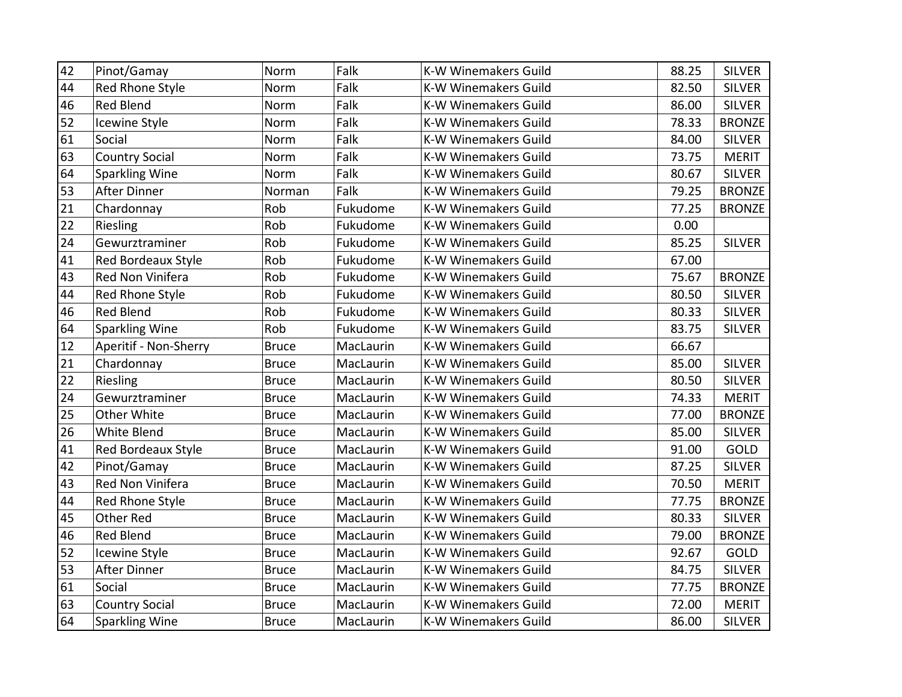| 42 | Pinot/Gamay           | Norm         | Falk      | <b>K-W Winemakers Guild</b> | 88.25 | <b>SILVER</b> |
|----|-----------------------|--------------|-----------|-----------------------------|-------|---------------|
| 44 | Red Rhone Style       | Norm         | Falk      | <b>K-W Winemakers Guild</b> | 82.50 | <b>SILVER</b> |
| 46 | Red Blend             | Norm         | Falk      | <b>K-W Winemakers Guild</b> | 86.00 | <b>SILVER</b> |
| 52 | <b>Icewine Style</b>  | Norm         | Falk      | <b>K-W Winemakers Guild</b> | 78.33 | <b>BRONZE</b> |
| 61 | Social                | Norm         | Falk      | <b>K-W Winemakers Guild</b> | 84.00 | <b>SILVER</b> |
| 63 | <b>Country Social</b> | Norm         | Falk      | <b>K-W Winemakers Guild</b> | 73.75 | <b>MERIT</b>  |
| 64 | <b>Sparkling Wine</b> | Norm         | Falk      | <b>K-W Winemakers Guild</b> | 80.67 | <b>SILVER</b> |
| 53 | <b>After Dinner</b>   | Norman       | Falk      | <b>K-W Winemakers Guild</b> | 79.25 | <b>BRONZE</b> |
| 21 | Chardonnay            | Rob          | Fukudome  | K-W Winemakers Guild        | 77.25 | <b>BRONZE</b> |
| 22 | Riesling              | Rob          | Fukudome  | <b>K-W Winemakers Guild</b> | 0.00  |               |
| 24 | Gewurztraminer        | Rob          | Fukudome  | <b>K-W Winemakers Guild</b> | 85.25 | <b>SILVER</b> |
| 41 | Red Bordeaux Style    | Rob          | Fukudome  | <b>K-W Winemakers Guild</b> | 67.00 |               |
| 43 | Red Non Vinifera      | Rob          | Fukudome  | K-W Winemakers Guild        | 75.67 | <b>BRONZE</b> |
| 44 | Red Rhone Style       | Rob          | Fukudome  | <b>K-W Winemakers Guild</b> | 80.50 | <b>SILVER</b> |
| 46 | <b>Red Blend</b>      | Rob          | Fukudome  | <b>K-W Winemakers Guild</b> | 80.33 | <b>SILVER</b> |
| 64 | <b>Sparkling Wine</b> | Rob          | Fukudome  | <b>K-W Winemakers Guild</b> | 83.75 | <b>SILVER</b> |
| 12 | Aperitif - Non-Sherry | <b>Bruce</b> | MacLaurin | <b>K-W Winemakers Guild</b> | 66.67 |               |
| 21 | Chardonnay            | <b>Bruce</b> | MacLaurin | K-W Winemakers Guild        | 85.00 | <b>SILVER</b> |
| 22 | Riesling              | <b>Bruce</b> | MacLaurin | <b>K-W Winemakers Guild</b> | 80.50 | <b>SILVER</b> |
| 24 | Gewurztraminer        | <b>Bruce</b> | MacLaurin | K-W Winemakers Guild        | 74.33 | <b>MERIT</b>  |
| 25 | Other White           | <b>Bruce</b> | MacLaurin | <b>K-W Winemakers Guild</b> | 77.00 | <b>BRONZE</b> |
| 26 | White Blend           | <b>Bruce</b> | MacLaurin | K-W Winemakers Guild        | 85.00 | <b>SILVER</b> |
| 41 | Red Bordeaux Style    | <b>Bruce</b> | MacLaurin | K-W Winemakers Guild        | 91.00 | GOLD          |
| 42 | Pinot/Gamay           | <b>Bruce</b> | MacLaurin | <b>K-W Winemakers Guild</b> | 87.25 | <b>SILVER</b> |
| 43 | Red Non Vinifera      | <b>Bruce</b> | MacLaurin | <b>K-W Winemakers Guild</b> | 70.50 | <b>MERIT</b>  |
| 44 | Red Rhone Style       | <b>Bruce</b> | MacLaurin | <b>K-W Winemakers Guild</b> | 77.75 | <b>BRONZE</b> |
| 45 | Other Red             | <b>Bruce</b> | MacLaurin | <b>K-W Winemakers Guild</b> | 80.33 | <b>SILVER</b> |
| 46 | <b>Red Blend</b>      | <b>Bruce</b> | MacLaurin | K-W Winemakers Guild        | 79.00 | <b>BRONZE</b> |
| 52 | Icewine Style         | <b>Bruce</b> | MacLaurin | K-W Winemakers Guild        | 92.67 | GOLD          |
| 53 | After Dinner          | <b>Bruce</b> | MacLaurin | <b>K-W Winemakers Guild</b> | 84.75 | <b>SILVER</b> |
| 61 | Social                | <b>Bruce</b> | MacLaurin | <b>K-W Winemakers Guild</b> | 77.75 | <b>BRONZE</b> |
| 63 | <b>Country Social</b> | <b>Bruce</b> | MacLaurin | K-W Winemakers Guild        | 72.00 | <b>MERIT</b>  |
| 64 | Sparkling Wine        | <b>Bruce</b> | MacLaurin | <b>K-W Winemakers Guild</b> | 86.00 | <b>SILVER</b> |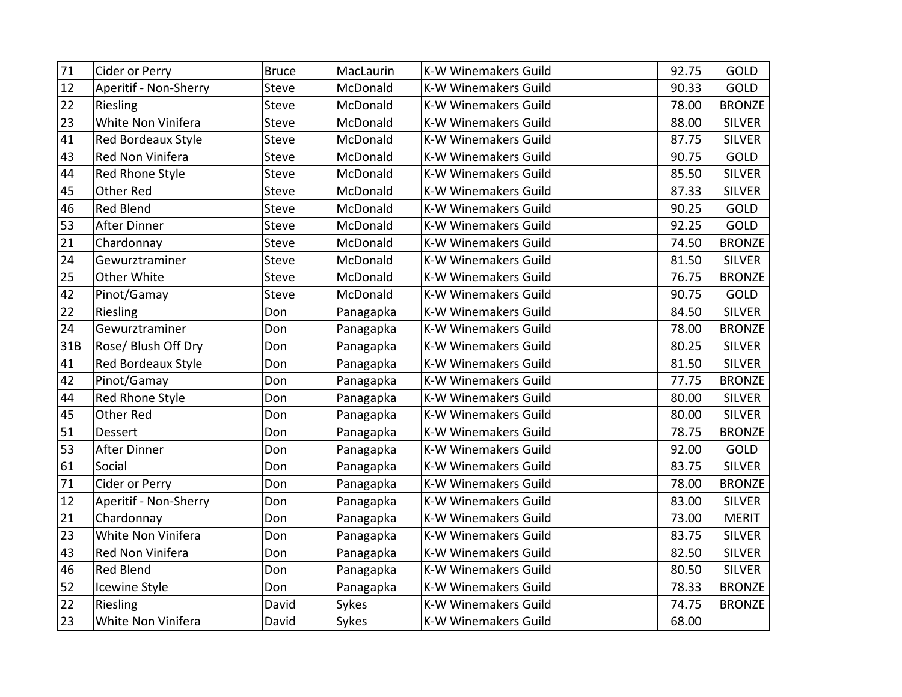| 71  | Cider or Perry        | <b>Bruce</b> | MacLaurin | <b>K-W Winemakers Guild</b> | 92.75 | GOLD          |
|-----|-----------------------|--------------|-----------|-----------------------------|-------|---------------|
| 12  | Aperitif - Non-Sherry | Steve        | McDonald  | <b>K-W Winemakers Guild</b> | 90.33 | <b>GOLD</b>   |
| 22  | Riesling              | Steve        | McDonald  | <b>K-W Winemakers Guild</b> | 78.00 | <b>BRONZE</b> |
| 23  | White Non Vinifera    | Steve        | McDonald  | <b>K-W Winemakers Guild</b> | 88.00 | <b>SILVER</b> |
| 41  | Red Bordeaux Style    | Steve        | McDonald  | <b>K-W Winemakers Guild</b> | 87.75 | <b>SILVER</b> |
| 43  | Red Non Vinifera      | <b>Steve</b> | McDonald  | <b>K-W Winemakers Guild</b> | 90.75 | <b>GOLD</b>   |
| 44  | Red Rhone Style       | <b>Steve</b> | McDonald  | <b>K-W Winemakers Guild</b> | 85.50 | <b>SILVER</b> |
| 45  | Other Red             | <b>Steve</b> | McDonald  | <b>K-W Winemakers Guild</b> | 87.33 | <b>SILVER</b> |
| 46  | <b>Red Blend</b>      | Steve        | McDonald  | <b>K-W Winemakers Guild</b> | 90.25 | GOLD          |
| 53  | After Dinner          | <b>Steve</b> | McDonald  | <b>K-W Winemakers Guild</b> | 92.25 | <b>GOLD</b>   |
| 21  | Chardonnay            | <b>Steve</b> | McDonald  | <b>K-W Winemakers Guild</b> | 74.50 | <b>BRONZE</b> |
| 24  | Gewurztraminer        | <b>Steve</b> | McDonald  | <b>K-W Winemakers Guild</b> | 81.50 | <b>SILVER</b> |
| 25  | Other White           | Steve        | McDonald  | <b>K-W Winemakers Guild</b> | 76.75 | <b>BRONZE</b> |
| 42  | Pinot/Gamay           | <b>Steve</b> | McDonald  | <b>K-W Winemakers Guild</b> | 90.75 | GOLD          |
| 22  | Riesling              | Don          | Panagapka | <b>K-W Winemakers Guild</b> | 84.50 | <b>SILVER</b> |
| 24  | Gewurztraminer        | Don          | Panagapka | <b>K-W Winemakers Guild</b> | 78.00 | <b>BRONZE</b> |
| 31B | Rose/ Blush Off Dry   | Don          | Panagapka | <b>K-W Winemakers Guild</b> | 80.25 | <b>SILVER</b> |
| 41  | Red Bordeaux Style    | Don          | Panagapka | <b>K-W Winemakers Guild</b> | 81.50 | <b>SILVER</b> |
| 42  | Pinot/Gamay           | Don          | Panagapka | <b>K-W Winemakers Guild</b> | 77.75 | <b>BRONZE</b> |
| 44  | Red Rhone Style       | Don          | Panagapka | <b>K-W Winemakers Guild</b> | 80.00 | <b>SILVER</b> |
| 45  | Other Red             | Don          | Panagapka | <b>K-W Winemakers Guild</b> | 80.00 | <b>SILVER</b> |
| 51  | <b>Dessert</b>        | Don          | Panagapka | <b>K-W Winemakers Guild</b> | 78.75 | <b>BRONZE</b> |
| 53  | <b>After Dinner</b>   | Don          | Panagapka | <b>K-W Winemakers Guild</b> | 92.00 | GOLD          |
| 61  | Social                | Don          | Panagapka | K-W Winemakers Guild        | 83.75 | <b>SILVER</b> |
| 71  | Cider or Perry        | Don          | Panagapka | K-W Winemakers Guild        | 78.00 | <b>BRONZE</b> |
| 12  | Aperitif - Non-Sherry | Don          | Panagapka | K-W Winemakers Guild        | 83.00 | <b>SILVER</b> |
| 21  | Chardonnay            | Don          | Panagapka | <b>K-W Winemakers Guild</b> | 73.00 | <b>MERIT</b>  |
| 23  | White Non Vinifera    | Don          | Panagapka | K-W Winemakers Guild        | 83.75 | <b>SILVER</b> |
| 43  | Red Non Vinifera      | Don          | Panagapka | K-W Winemakers Guild        | 82.50 | <b>SILVER</b> |
| 46  | <b>Red Blend</b>      | Don          | Panagapka | <b>K-W Winemakers Guild</b> | 80.50 | <b>SILVER</b> |
| 52  | Icewine Style         | Don          | Panagapka | <b>K-W Winemakers Guild</b> | 78.33 | <b>BRONZE</b> |
| 22  | Riesling              | David        | Sykes     | K-W Winemakers Guild        | 74.75 | <b>BRONZE</b> |
| 23  | White Non Vinifera    | David        | Sykes     | K-W Winemakers Guild        | 68.00 |               |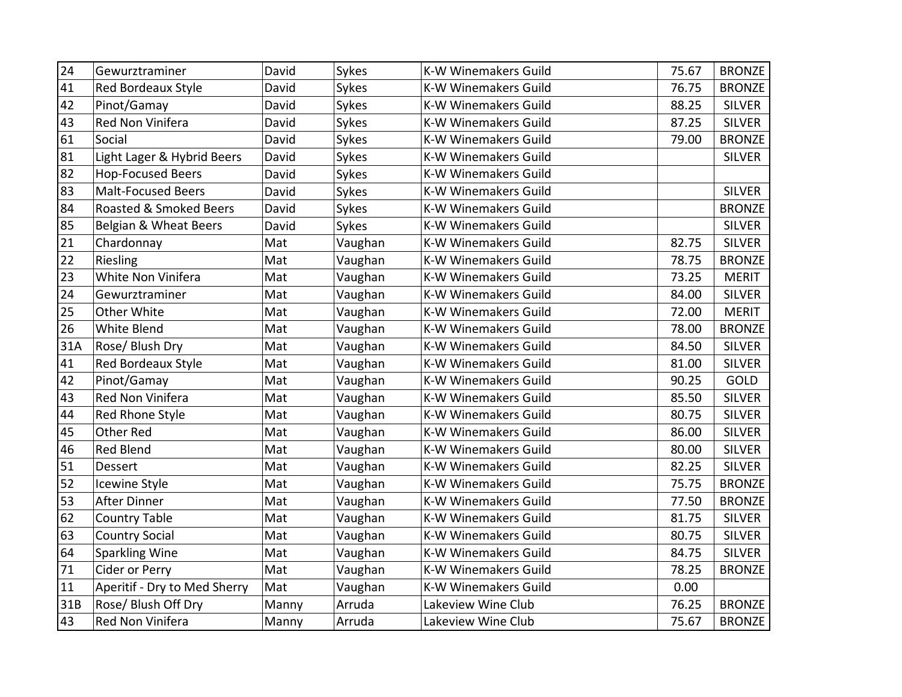| 24  | Gewurztraminer               | David | Sykes   | <b>K-W Winemakers Guild</b> | 75.67 | <b>BRONZE</b> |
|-----|------------------------------|-------|---------|-----------------------------|-------|---------------|
| 41  | <b>Red Bordeaux Style</b>    | David | Sykes   | <b>K-W Winemakers Guild</b> | 76.75 | <b>BRONZE</b> |
| 42  | Pinot/Gamay                  | David | Sykes   | <b>K-W Winemakers Guild</b> | 88.25 | <b>SILVER</b> |
| 43  | <b>Red Non Vinifera</b>      | David | Sykes   | <b>K-W Winemakers Guild</b> | 87.25 | <b>SILVER</b> |
| 61  | Social                       | David | Sykes   | K-W Winemakers Guild        | 79.00 | <b>BRONZE</b> |
| 81  | Light Lager & Hybrid Beers   | David | Sykes   | <b>K-W Winemakers Guild</b> |       | <b>SILVER</b> |
| 82  | <b>Hop-Focused Beers</b>     | David | Sykes   | <b>K-W Winemakers Guild</b> |       |               |
| 83  | <b>Malt-Focused Beers</b>    | David | Sykes   | <b>K-W Winemakers Guild</b> |       | <b>SILVER</b> |
| 84  | Roasted & Smoked Beers       | David | Sykes   | K-W Winemakers Guild        |       | <b>BRONZE</b> |
| 85  | Belgian & Wheat Beers        | David | Sykes   | <b>K-W Winemakers Guild</b> |       | <b>SILVER</b> |
| 21  | Chardonnay                   | Mat   | Vaughan | <b>K-W Winemakers Guild</b> | 82.75 | <b>SILVER</b> |
| 22  | Riesling                     | Mat   | Vaughan | <b>K-W Winemakers Guild</b> | 78.75 | <b>BRONZE</b> |
| 23  | White Non Vinifera           | Mat   | Vaughan | <b>K-W Winemakers Guild</b> | 73.25 | <b>MERIT</b>  |
| 24  | Gewurztraminer               | Mat   | Vaughan | <b>K-W Winemakers Guild</b> | 84.00 | <b>SILVER</b> |
| 25  | Other White                  | Mat   | Vaughan | <b>K-W Winemakers Guild</b> | 72.00 | <b>MERIT</b>  |
| 26  | White Blend                  | Mat   | Vaughan | <b>K-W Winemakers Guild</b> | 78.00 | <b>BRONZE</b> |
| 31A | Rose/ Blush Dry              | Mat   | Vaughan | K-W Winemakers Guild        | 84.50 | <b>SILVER</b> |
| 41  | Red Bordeaux Style           | Mat   | Vaughan | K-W Winemakers Guild        | 81.00 | <b>SILVER</b> |
| 42  | Pinot/Gamay                  | Mat   | Vaughan | K-W Winemakers Guild        | 90.25 | GOLD          |
| 43  | Red Non Vinifera             | Mat   | Vaughan | K-W Winemakers Guild        | 85.50 | <b>SILVER</b> |
| 44  | Red Rhone Style              | Mat   | Vaughan | K-W Winemakers Guild        | 80.75 | <b>SILVER</b> |
| 45  | <b>Other Red</b>             | Mat   | Vaughan | K-W Winemakers Guild        | 86.00 | <b>SILVER</b> |
| 46  | <b>Red Blend</b>             | Mat   | Vaughan | <b>K-W Winemakers Guild</b> | 80.00 | <b>SILVER</b> |
| 51  | Dessert                      | Mat   | Vaughan | K-W Winemakers Guild        | 82.25 | <b>SILVER</b> |
| 52  | Icewine Style                | Mat   | Vaughan | <b>K-W Winemakers Guild</b> | 75.75 | <b>BRONZE</b> |
| 53  | <b>After Dinner</b>          | Mat   | Vaughan | K-W Winemakers Guild        | 77.50 | <b>BRONZE</b> |
| 62  | Country Table                | Mat   | Vaughan | <b>K-W Winemakers Guild</b> | 81.75 | <b>SILVER</b> |
| 63  | <b>Country Social</b>        | Mat   | Vaughan | K-W Winemakers Guild        | 80.75 | <b>SILVER</b> |
| 64  | Sparkling Wine               | Mat   | Vaughan | <b>K-W Winemakers Guild</b> | 84.75 | <b>SILVER</b> |
| 71  | Cider or Perry               | Mat   | Vaughan | <b>K-W Winemakers Guild</b> | 78.25 | <b>BRONZE</b> |
| 11  | Aperitif - Dry to Med Sherry | Mat   | Vaughan | <b>K-W Winemakers Guild</b> | 0.00  |               |
| 31B | Rose/ Blush Off Dry          | Manny | Arruda  | Lakeview Wine Club          | 76.25 | <b>BRONZE</b> |
| 43  | Red Non Vinifera             | Manny | Arruda  | Lakeview Wine Club          | 75.67 | <b>BRONZE</b> |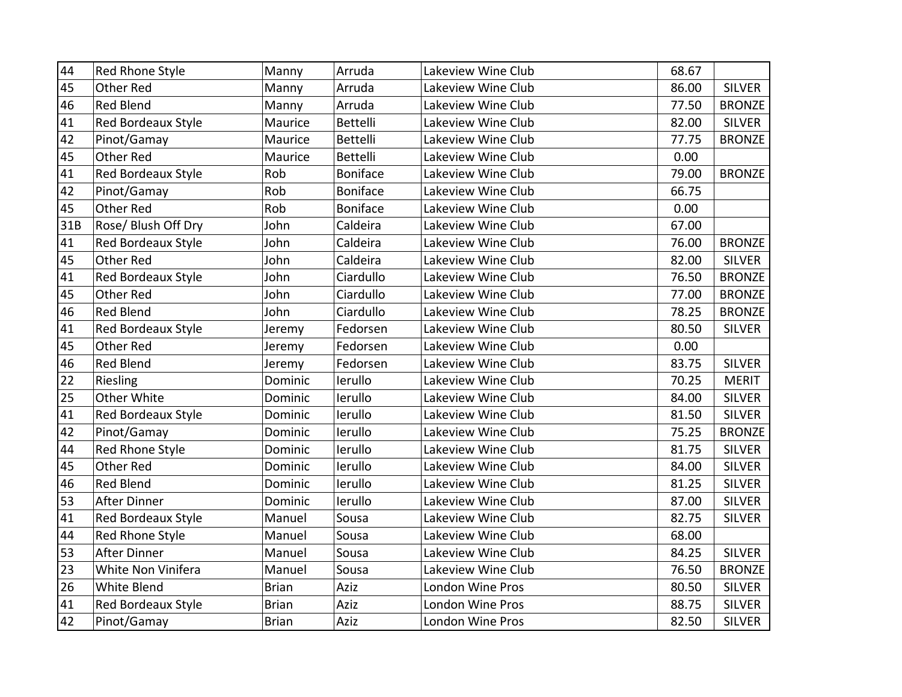| 44  | Red Rhone Style           | Manny        | Arruda          | Lakeview Wine Club | 68.67 |               |
|-----|---------------------------|--------------|-----------------|--------------------|-------|---------------|
| 45  | Other Red                 | Manny        | Arruda          | Lakeview Wine Club | 86.00 | <b>SILVER</b> |
| 46  | Red Blend                 | Manny        | Arruda          | Lakeview Wine Club | 77.50 | <b>BRONZE</b> |
| 41  | Red Bordeaux Style        | Maurice      | <b>Bettelli</b> | Lakeview Wine Club | 82.00 | <b>SILVER</b> |
| 42  | Pinot/Gamay               | Maurice      | <b>Bettelli</b> | Lakeview Wine Club | 77.75 | <b>BRONZE</b> |
| 45  | Other Red                 | Maurice      | Bettelli        | Lakeview Wine Club | 0.00  |               |
| 41  | <b>Red Bordeaux Style</b> | Rob          | <b>Boniface</b> | Lakeview Wine Club | 79.00 | <b>BRONZE</b> |
| 42  | Pinot/Gamay               | Rob          | <b>Boniface</b> | Lakeview Wine Club | 66.75 |               |
| 45  | Other Red                 | Rob          | <b>Boniface</b> | Lakeview Wine Club | 0.00  |               |
| 31B | Rose/ Blush Off Dry       | John         | Caldeira        | Lakeview Wine Club | 67.00 |               |
| 41  | Red Bordeaux Style        | John         | Caldeira        | Lakeview Wine Club | 76.00 | <b>BRONZE</b> |
| 45  | Other Red                 | John         | Caldeira        | Lakeview Wine Club | 82.00 | <b>SILVER</b> |
| 41  | Red Bordeaux Style        | John         | Ciardullo       | Lakeview Wine Club | 76.50 | <b>BRONZE</b> |
| 45  | <b>Other Red</b>          | John         | Ciardullo       | Lakeview Wine Club | 77.00 | <b>BRONZE</b> |
| 46  | <b>Red Blend</b>          | John         | Ciardullo       | Lakeview Wine Club | 78.25 | <b>BRONZE</b> |
| 41  | Red Bordeaux Style        | Jeremy       | Fedorsen        | Lakeview Wine Club | 80.50 | <b>SILVER</b> |
| 45  | <b>Other Red</b>          | Jeremy       | Fedorsen        | Lakeview Wine Club | 0.00  |               |
| 46  | <b>Red Blend</b>          | Jeremy       | Fedorsen        | Lakeview Wine Club | 83.75 | <b>SILVER</b> |
| 22  | Riesling                  | Dominic      | lerullo         | Lakeview Wine Club | 70.25 | <b>MERIT</b>  |
| 25  | Other White               | Dominic      | lerullo         | Lakeview Wine Club | 84.00 | <b>SILVER</b> |
| 41  | Red Bordeaux Style        | Dominic      | lerullo         | Lakeview Wine Club | 81.50 | <b>SILVER</b> |
| 42  | Pinot/Gamay               | Dominic      | lerullo         | Lakeview Wine Club | 75.25 | <b>BRONZE</b> |
| 44  | Red Rhone Style           | Dominic      | lerullo         | Lakeview Wine Club | 81.75 | <b>SILVER</b> |
| 45  | Other Red                 | Dominic      | lerullo         | Lakeview Wine Club | 84.00 | <b>SILVER</b> |
| 46  | Red Blend                 | Dominic      | lerullo         | Lakeview Wine Club | 81.25 | <b>SILVER</b> |
| 53  | <b>After Dinner</b>       | Dominic      | lerullo         | Lakeview Wine Club | 87.00 | <b>SILVER</b> |
| 41  | Red Bordeaux Style        | Manuel       | Sousa           | Lakeview Wine Club | 82.75 | <b>SILVER</b> |
| 44  | Red Rhone Style           | Manuel       | Sousa           | Lakeview Wine Club | 68.00 |               |
| 53  | <b>After Dinner</b>       | Manuel       | Sousa           | Lakeview Wine Club | 84.25 | <b>SILVER</b> |
| 23  | White Non Vinifera        | Manuel       | Sousa           | Lakeview Wine Club | 76.50 | <b>BRONZE</b> |
| 26  | White Blend               | <b>Brian</b> | Aziz            | London Wine Pros   | 80.50 | <b>SILVER</b> |
| 41  | Red Bordeaux Style        | <b>Brian</b> | Aziz            | London Wine Pros   | 88.75 | <b>SILVER</b> |
| 42  | Pinot/Gamay               | <b>Brian</b> | Aziz            | London Wine Pros   | 82.50 | <b>SILVER</b> |
|     |                           |              |                 |                    |       |               |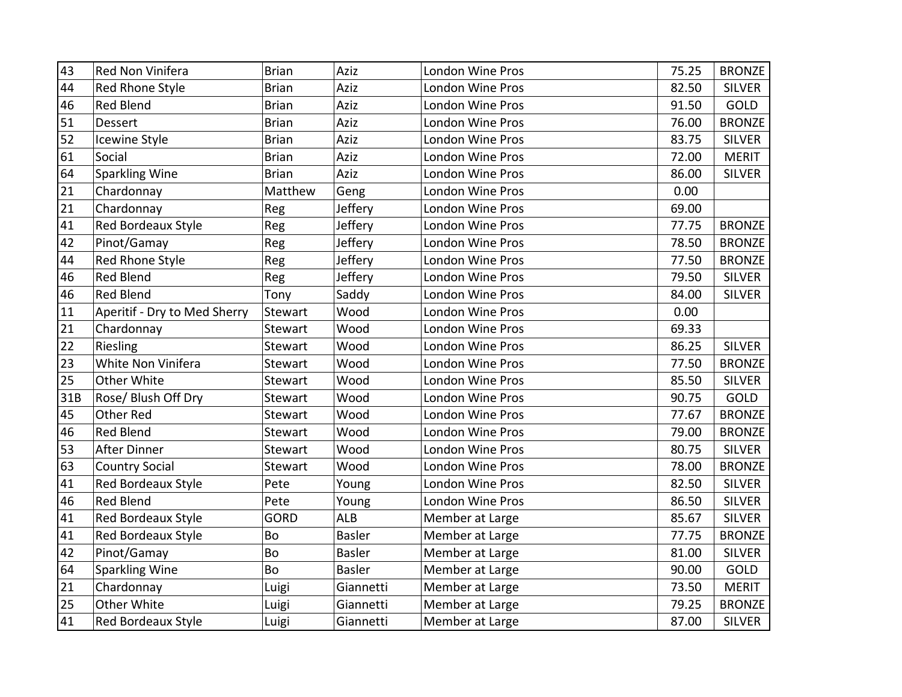| 43  | Red Non Vinifera             | <b>Brian</b> | Aziz          | London Wine Pros | 75.25 | <b>BRONZE</b> |
|-----|------------------------------|--------------|---------------|------------------|-------|---------------|
| 44  | Red Rhone Style              | <b>Brian</b> | Aziz          | London Wine Pros | 82.50 | <b>SILVER</b> |
| 46  | <b>Red Blend</b>             | <b>Brian</b> | Aziz          | London Wine Pros | 91.50 | GOLD          |
| 51  | Dessert                      | <b>Brian</b> | Aziz          | London Wine Pros | 76.00 | <b>BRONZE</b> |
| 52  | Icewine Style                | <b>Brian</b> | Aziz          | London Wine Pros | 83.75 | <b>SILVER</b> |
| 61  | Social                       | <b>Brian</b> | Aziz          | London Wine Pros | 72.00 | <b>MERIT</b>  |
| 64  | <b>Sparkling Wine</b>        | <b>Brian</b> | Aziz          | London Wine Pros | 86.00 | <b>SILVER</b> |
| 21  | Chardonnay                   | Matthew      | Geng          | London Wine Pros | 0.00  |               |
| 21  | Chardonnay                   | Reg          | Jeffery       | London Wine Pros | 69.00 |               |
| 41  | Red Bordeaux Style           | Reg          | Jeffery       | London Wine Pros | 77.75 | <b>BRONZE</b> |
| 42  | Pinot/Gamay                  | Reg          | Jeffery       | London Wine Pros | 78.50 | <b>BRONZE</b> |
| 44  | Red Rhone Style              | Reg          | Jeffery       | London Wine Pros | 77.50 | <b>BRONZE</b> |
| 46  | <b>Red Blend</b>             | Reg          | Jeffery       | London Wine Pros | 79.50 | <b>SILVER</b> |
| 46  | <b>Red Blend</b>             | Tony         | Saddy         | London Wine Pros | 84.00 | <b>SILVER</b> |
| 11  | Aperitif - Dry to Med Sherry | Stewart      | Wood          | London Wine Pros | 0.00  |               |
| 21  | Chardonnay                   | Stewart      | Wood          | London Wine Pros | 69.33 |               |
| 22  | Riesling                     | Stewart      | Wood          | London Wine Pros | 86.25 | <b>SILVER</b> |
| 23  | White Non Vinifera           | Stewart      | Wood          | London Wine Pros | 77.50 | <b>BRONZE</b> |
| 25  | Other White                  | Stewart      | Wood          | London Wine Pros | 85.50 | <b>SILVER</b> |
| 31B | Rose/ Blush Off Dry          | Stewart      | Wood          | London Wine Pros | 90.75 | GOLD          |
| 45  | <b>Other Red</b>             | Stewart      | Wood          | London Wine Pros | 77.67 | <b>BRONZE</b> |
| 46  | Red Blend                    | Stewart      | Wood          | London Wine Pros | 79.00 | <b>BRONZE</b> |
| 53  | After Dinner                 | Stewart      | Wood          | London Wine Pros | 80.75 | <b>SILVER</b> |
| 63  | <b>Country Social</b>        | Stewart      | Wood          | London Wine Pros | 78.00 | <b>BRONZE</b> |
| 41  | Red Bordeaux Style           | Pete         | Young         | London Wine Pros | 82.50 | <b>SILVER</b> |
| 46  | <b>Red Blend</b>             | Pete         | Young         | London Wine Pros | 86.50 | <b>SILVER</b> |
| 41  | Red Bordeaux Style           | <b>GORD</b>  | ALB           | Member at Large  | 85.67 | <b>SILVER</b> |
| 41  | Red Bordeaux Style           | Bo           | <b>Basler</b> | Member at Large  | 77.75 | <b>BRONZE</b> |
| 42  | Pinot/Gamay                  | Bo           | <b>Basler</b> | Member at Large  | 81.00 | <b>SILVER</b> |
| 64  | <b>Sparkling Wine</b>        | Bo           | <b>Basler</b> | Member at Large  | 90.00 | GOLD          |
| 21  | Chardonnay                   | Luigi        | Giannetti     | Member at Large  | 73.50 | <b>MERIT</b>  |
| 25  | Other White                  | Luigi        | Giannetti     | Member at Large  | 79.25 | <b>BRONZE</b> |
| 41  | <b>Red Bordeaux Style</b>    | Luigi        | Giannetti     | Member at Large  | 87.00 | <b>SILVER</b> |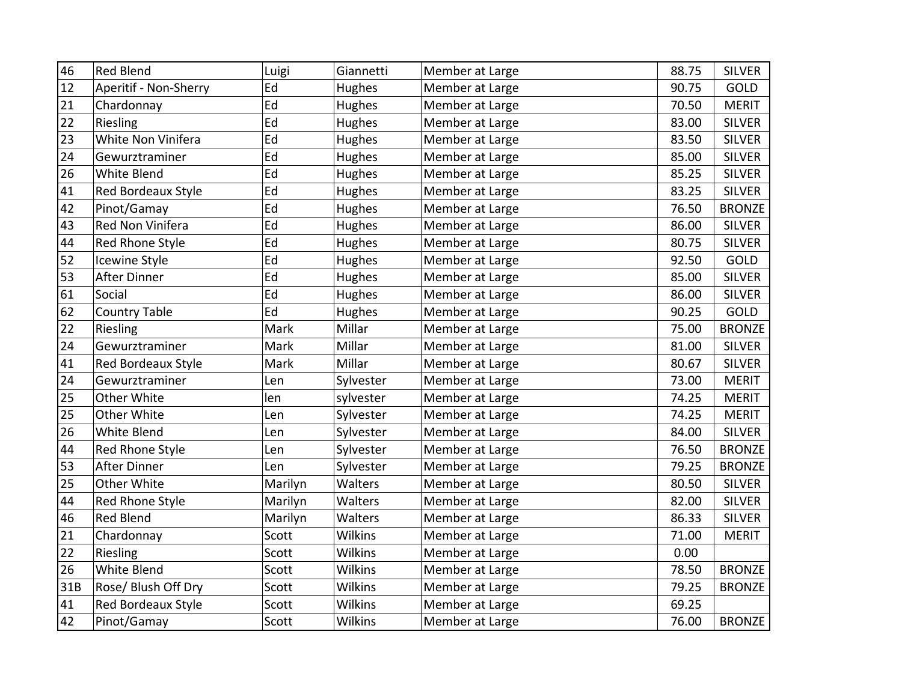| 46  | <b>Red Blend</b>      | Luigi   | Giannetti      | Member at Large | 88.75 | <b>SILVER</b> |
|-----|-----------------------|---------|----------------|-----------------|-------|---------------|
| 12  | Aperitif - Non-Sherry | Ed      | Hughes         | Member at Large | 90.75 | GOLD          |
| 21  | Chardonnay            | Ed      | Hughes         | Member at Large | 70.50 | <b>MERIT</b>  |
| 22  | Riesling              | Ed      | Hughes         | Member at Large | 83.00 | <b>SILVER</b> |
| 23  | White Non Vinifera    | Ed      | Hughes         | Member at Large | 83.50 | <b>SILVER</b> |
| 24  | Gewurztraminer        | Ed      | Hughes         | Member at Large | 85.00 | <b>SILVER</b> |
| 26  | White Blend           | Ed      | Hughes         | Member at Large | 85.25 | <b>SILVER</b> |
| 41  | Red Bordeaux Style    | Ed      | Hughes         | Member at Large | 83.25 | <b>SILVER</b> |
| 42  | Pinot/Gamay           | Ed      | Hughes         | Member at Large | 76.50 | <b>BRONZE</b> |
| 43  | Red Non Vinifera      | Ed      | Hughes         | Member at Large | 86.00 | <b>SILVER</b> |
| 44  | Red Rhone Style       | Ed      | Hughes         | Member at Large | 80.75 | <b>SILVER</b> |
| 52  | Icewine Style         | Ed      | Hughes         | Member at Large | 92.50 | GOLD          |
| 53  | <b>After Dinner</b>   | Ed      | Hughes         | Member at Large | 85.00 | <b>SILVER</b> |
| 61  | Social                | Ed      | Hughes         | Member at Large | 86.00 | <b>SILVER</b> |
| 62  | <b>Country Table</b>  | Ed      | Hughes         | Member at Large | 90.25 | GOLD          |
| 22  | Riesling              | Mark    | Millar         | Member at Large | 75.00 | <b>BRONZE</b> |
| 24  | Gewurztraminer        | Mark    | Millar         | Member at Large | 81.00 | <b>SILVER</b> |
| 41  | Red Bordeaux Style    | Mark    | Millar         | Member at Large | 80.67 | <b>SILVER</b> |
| 24  | Gewurztraminer        | Len     | Sylvester      | Member at Large | 73.00 | <b>MERIT</b>  |
| 25  | Other White           | len     | sylvester      | Member at Large | 74.25 | <b>MERIT</b>  |
| 25  | Other White           | Len     | Sylvester      | Member at Large | 74.25 | <b>MERIT</b>  |
| 26  | White Blend           | Len     | Sylvester      | Member at Large | 84.00 | <b>SILVER</b> |
| 44  | Red Rhone Style       | Len     | Sylvester      | Member at Large | 76.50 | <b>BRONZE</b> |
| 53  | <b>After Dinner</b>   | Len     | Sylvester      | Member at Large | 79.25 | <b>BRONZE</b> |
| 25  | Other White           | Marilyn | Walters        | Member at Large | 80.50 | <b>SILVER</b> |
| 44  | Red Rhone Style       | Marilyn | Walters        | Member at Large | 82.00 | <b>SILVER</b> |
| 46  | <b>Red Blend</b>      | Marilyn | Walters        | Member at Large | 86.33 | <b>SILVER</b> |
| 21  | Chardonnay            | Scott   | Wilkins        | Member at Large | 71.00 | <b>MERIT</b>  |
| 22  | Riesling              | Scott   | Wilkins        | Member at Large | 0.00  |               |
| 26  | White Blend           | Scott   | Wilkins        | Member at Large | 78.50 | <b>BRONZE</b> |
| 31B | Rose/ Blush Off Dry   | Scott   | <b>Wilkins</b> | Member at Large | 79.25 | <b>BRONZE</b> |
| 41  | Red Bordeaux Style    | Scott   | Wilkins        | Member at Large | 69.25 |               |
| 42  | Pinot/Gamay           | Scott   | Wilkins        | Member at Large | 76.00 | <b>BRONZE</b> |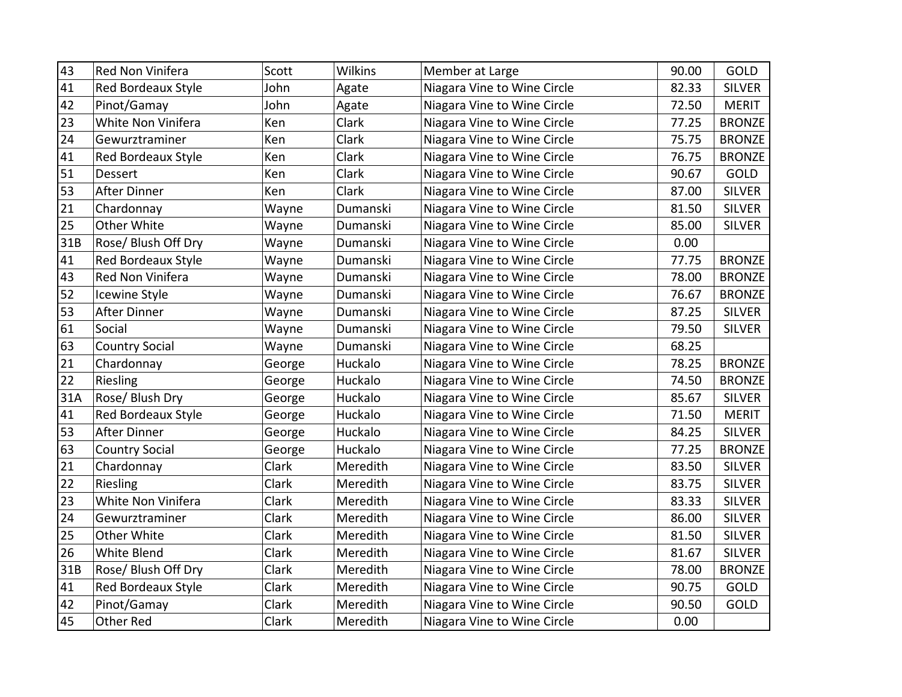| 43  | Red Non Vinifera          | Scott  | Wilkins  | Member at Large             | 90.00 | GOLD          |
|-----|---------------------------|--------|----------|-----------------------------|-------|---------------|
| 41  | <b>Red Bordeaux Style</b> | John   | Agate    | Niagara Vine to Wine Circle | 82.33 | <b>SILVER</b> |
| 42  | Pinot/Gamay               | John   | Agate    | Niagara Vine to Wine Circle | 72.50 | <b>MERIT</b>  |
| 23  | White Non Vinifera        | Ken    | Clark    | Niagara Vine to Wine Circle | 77.25 | <b>BRONZE</b> |
| 24  | Gewurztraminer            | Ken    | Clark    | Niagara Vine to Wine Circle | 75.75 | <b>BRONZE</b> |
| 41  | Red Bordeaux Style        | Ken    | Clark    | Niagara Vine to Wine Circle | 76.75 | <b>BRONZE</b> |
| 51  | Dessert                   | Ken    | Clark    | Niagara Vine to Wine Circle | 90.67 | <b>GOLD</b>   |
| 53  | <b>After Dinner</b>       | Ken    | Clark    | Niagara Vine to Wine Circle | 87.00 | <b>SILVER</b> |
| 21  | Chardonnay                | Wayne  | Dumanski | Niagara Vine to Wine Circle | 81.50 | <b>SILVER</b> |
| 25  | Other White               | Wayne  | Dumanski | Niagara Vine to Wine Circle | 85.00 | <b>SILVER</b> |
| 31B | Rose/ Blush Off Dry       | Wayne  | Dumanski | Niagara Vine to Wine Circle | 0.00  |               |
| 41  | Red Bordeaux Style        | Wayne  | Dumanski | Niagara Vine to Wine Circle | 77.75 | <b>BRONZE</b> |
| 43  | Red Non Vinifera          | Wayne  | Dumanski | Niagara Vine to Wine Circle | 78.00 | <b>BRONZE</b> |
| 52  | Icewine Style             | Wayne  | Dumanski | Niagara Vine to Wine Circle | 76.67 | <b>BRONZE</b> |
| 53  | <b>After Dinner</b>       | Wayne  | Dumanski | Niagara Vine to Wine Circle | 87.25 | <b>SILVER</b> |
| 61  | Social                    | Wayne  | Dumanski | Niagara Vine to Wine Circle | 79.50 | <b>SILVER</b> |
| 63  | <b>Country Social</b>     | Wayne  | Dumanski | Niagara Vine to Wine Circle | 68.25 |               |
| 21  | Chardonnay                | George | Huckalo  | Niagara Vine to Wine Circle | 78.25 | <b>BRONZE</b> |
| 22  | Riesling                  | George | Huckalo  | Niagara Vine to Wine Circle | 74.50 | <b>BRONZE</b> |
| 31A | Rose/ Blush Dry           | George | Huckalo  | Niagara Vine to Wine Circle | 85.67 | <b>SILVER</b> |
| 41  | Red Bordeaux Style        | George | Huckalo  | Niagara Vine to Wine Circle | 71.50 | <b>MERIT</b>  |
| 53  | <b>After Dinner</b>       | George | Huckalo  | Niagara Vine to Wine Circle | 84.25 | <b>SILVER</b> |
| 63  | <b>Country Social</b>     | George | Huckalo  | Niagara Vine to Wine Circle | 77.25 | <b>BRONZE</b> |
| 21  | Chardonnay                | Clark  | Meredith | Niagara Vine to Wine Circle | 83.50 | <b>SILVER</b> |
| 22  | Riesling                  | Clark  | Meredith | Niagara Vine to Wine Circle | 83.75 | <b>SILVER</b> |
| 23  | White Non Vinifera        | Clark  | Meredith | Niagara Vine to Wine Circle | 83.33 | <b>SILVER</b> |
| 24  | Gewurztraminer            | Clark  | Meredith | Niagara Vine to Wine Circle | 86.00 | <b>SILVER</b> |
| 25  | Other White               | Clark  | Meredith | Niagara Vine to Wine Circle | 81.50 | <b>SILVER</b> |
| 26  | <b>White Blend</b>        | Clark  | Meredith | Niagara Vine to Wine Circle | 81.67 | <b>SILVER</b> |
| 31B | Rose/ Blush Off Dry       | Clark  | Meredith | Niagara Vine to Wine Circle | 78.00 | <b>BRONZE</b> |
| 41  | Red Bordeaux Style        | Clark  | Meredith | Niagara Vine to Wine Circle | 90.75 | GOLD          |
| 42  | Pinot/Gamay               | Clark  | Meredith | Niagara Vine to Wine Circle | 90.50 | GOLD          |
| 45  | Other Red                 | Clark  | Meredith | Niagara Vine to Wine Circle | 0.00  |               |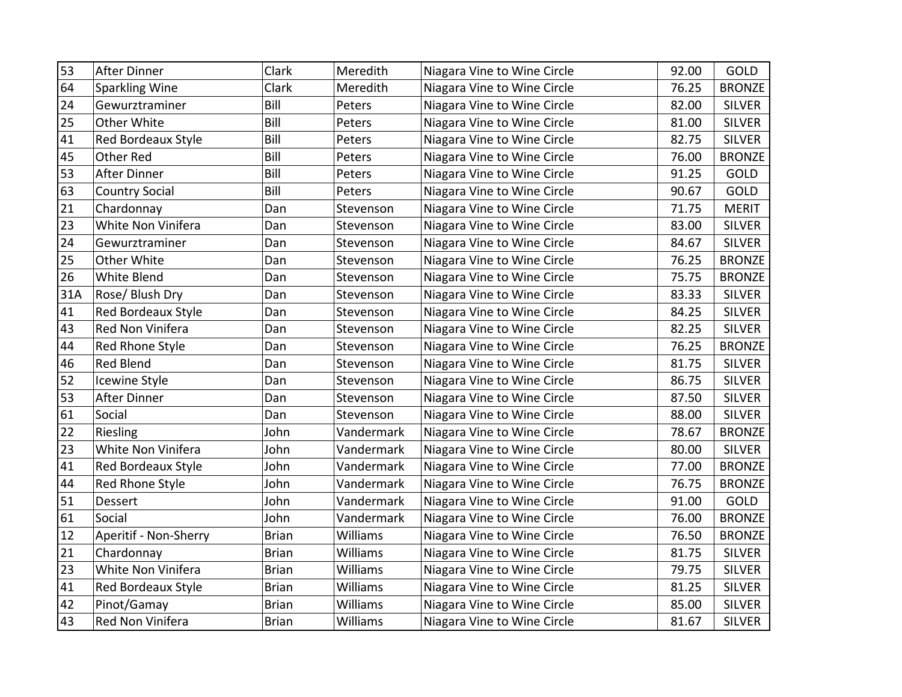| 53  | <b>After Dinner</b>       | Clark        | Meredith        | Niagara Vine to Wine Circle | 92.00 | <b>GOLD</b>   |
|-----|---------------------------|--------------|-----------------|-----------------------------|-------|---------------|
| 64  | Sparkling Wine            | Clark        | Meredith        | Niagara Vine to Wine Circle | 76.25 | <b>BRONZE</b> |
| 24  | Gewurztraminer            | Bill         | Peters          | Niagara Vine to Wine Circle | 82.00 | <b>SILVER</b> |
| 25  | Other White               | Bill         | Peters          | Niagara Vine to Wine Circle | 81.00 | <b>SILVER</b> |
| 41  | Red Bordeaux Style        | Bill         | Peters          | Niagara Vine to Wine Circle | 82.75 | <b>SILVER</b> |
| 45  | <b>Other Red</b>          | Bill         | Peters          | Niagara Vine to Wine Circle | 76.00 | <b>BRONZE</b> |
| 53  | <b>After Dinner</b>       | Bill         | Peters          | Niagara Vine to Wine Circle | 91.25 | GOLD          |
| 63  | <b>Country Social</b>     | Bill         | Peters          | Niagara Vine to Wine Circle | 90.67 | <b>GOLD</b>   |
| 21  | Chardonnay                | Dan          | Stevenson       | Niagara Vine to Wine Circle | 71.75 | <b>MERIT</b>  |
| 23  | White Non Vinifera        | Dan          | Stevenson       | Niagara Vine to Wine Circle | 83.00 | <b>SILVER</b> |
| 24  | Gewurztraminer            | Dan          | Stevenson       | Niagara Vine to Wine Circle | 84.67 | <b>SILVER</b> |
| 25  | Other White               | Dan          | Stevenson       | Niagara Vine to Wine Circle | 76.25 | <b>BRONZE</b> |
| 26  | <b>White Blend</b>        | Dan          | Stevenson       | Niagara Vine to Wine Circle | 75.75 | <b>BRONZE</b> |
| 31A | Rose/ Blush Dry           | Dan          | Stevenson       | Niagara Vine to Wine Circle | 83.33 | <b>SILVER</b> |
| 41  | <b>Red Bordeaux Style</b> | Dan          | Stevenson       | Niagara Vine to Wine Circle | 84.25 | <b>SILVER</b> |
| 43  | Red Non Vinifera          | Dan          | Stevenson       | Niagara Vine to Wine Circle | 82.25 | <b>SILVER</b> |
| 44  | Red Rhone Style           | Dan          | Stevenson       | Niagara Vine to Wine Circle | 76.25 | <b>BRONZE</b> |
| 46  | <b>Red Blend</b>          | Dan          | Stevenson       | Niagara Vine to Wine Circle | 81.75 | <b>SILVER</b> |
| 52  | Icewine Style             | Dan          | Stevenson       | Niagara Vine to Wine Circle | 86.75 | <b>SILVER</b> |
| 53  | After Dinner              | Dan          | Stevenson       | Niagara Vine to Wine Circle | 87.50 | <b>SILVER</b> |
| 61  | Social                    | Dan          | Stevenson       | Niagara Vine to Wine Circle | 88.00 | <b>SILVER</b> |
| 22  | Riesling                  | John         | Vandermark      | Niagara Vine to Wine Circle | 78.67 | <b>BRONZE</b> |
| 23  | White Non Vinifera        | John         | Vandermark      | Niagara Vine to Wine Circle | 80.00 | <b>SILVER</b> |
| 41  | Red Bordeaux Style        | John         | Vandermark      | Niagara Vine to Wine Circle | 77.00 | <b>BRONZE</b> |
| 44  | Red Rhone Style           | John         | Vandermark      | Niagara Vine to Wine Circle | 76.75 | <b>BRONZE</b> |
| 51  | Dessert                   | John         | Vandermark      | Niagara Vine to Wine Circle | 91.00 | <b>GOLD</b>   |
| 61  | Social                    | John         | Vandermark      | Niagara Vine to Wine Circle | 76.00 | <b>BRONZE</b> |
| 12  | Aperitif - Non-Sherry     | <b>Brian</b> | Williams        | Niagara Vine to Wine Circle | 76.50 | <b>BRONZE</b> |
| 21  | Chardonnay                | <b>Brian</b> | <b>Williams</b> | Niagara Vine to Wine Circle | 81.75 | <b>SILVER</b> |
| 23  | White Non Vinifera        | <b>Brian</b> | <b>Williams</b> | Niagara Vine to Wine Circle | 79.75 | <b>SILVER</b> |
| 41  | Red Bordeaux Style        | <b>Brian</b> | <b>Williams</b> | Niagara Vine to Wine Circle | 81.25 | <b>SILVER</b> |
| 42  | Pinot/Gamay               | <b>Brian</b> | Williams        | Niagara Vine to Wine Circle | 85.00 | <b>SILVER</b> |
| 43  | Red Non Vinifera          | <b>Brian</b> | Williams        | Niagara Vine to Wine Circle | 81.67 | SILVER        |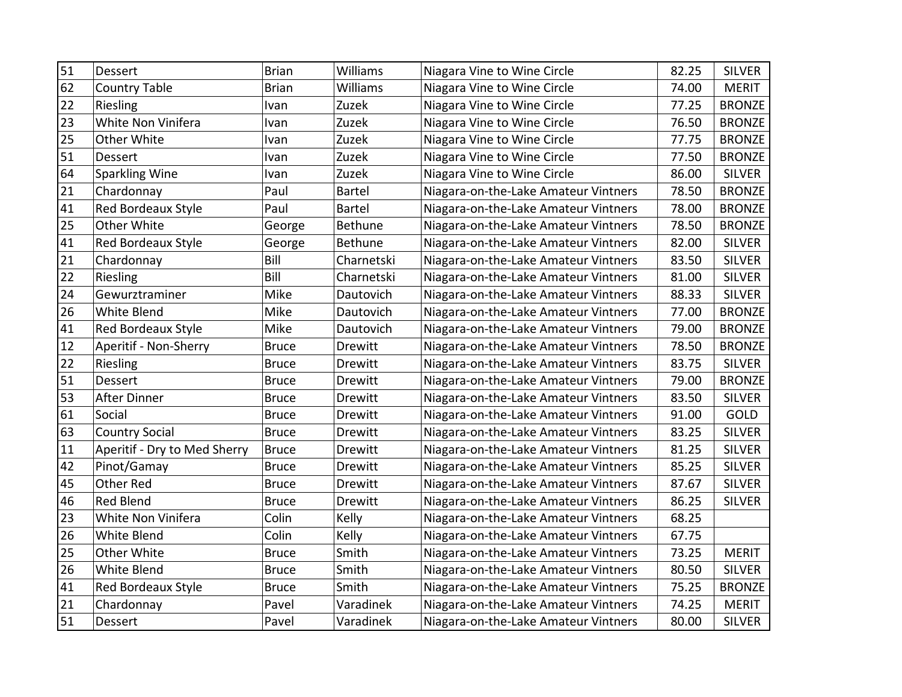| 51 | Dessert                      | Brian        | <b>Williams</b> | Niagara Vine to Wine Circle          | 82.25 | <b>SILVER</b> |
|----|------------------------------|--------------|-----------------|--------------------------------------|-------|---------------|
| 62 | <b>Country Table</b>         | <b>Brian</b> | Williams        | Niagara Vine to Wine Circle          | 74.00 | <b>MERIT</b>  |
| 22 | Riesling                     | Ivan         | Zuzek           | Niagara Vine to Wine Circle          | 77.25 | <b>BRONZE</b> |
| 23 | White Non Vinifera           | Ivan         | Zuzek           | Niagara Vine to Wine Circle          | 76.50 | <b>BRONZE</b> |
| 25 | Other White                  | Ivan         | Zuzek           | Niagara Vine to Wine Circle          | 77.75 | <b>BRONZE</b> |
| 51 | Dessert                      | Ivan         | Zuzek           | Niagara Vine to Wine Circle          | 77.50 | <b>BRONZE</b> |
| 64 | Sparkling Wine               | Ivan         | Zuzek           | Niagara Vine to Wine Circle          | 86.00 | <b>SILVER</b> |
| 21 | Chardonnay                   | Paul         | <b>Bartel</b>   | Niagara-on-the-Lake Amateur Vintners | 78.50 | <b>BRONZE</b> |
| 41 | Red Bordeaux Style           | Paul         | <b>Bartel</b>   | Niagara-on-the-Lake Amateur Vintners | 78.00 | <b>BRONZE</b> |
| 25 | Other White                  | George       | Bethune         | Niagara-on-the-Lake Amateur Vintners | 78.50 | <b>BRONZE</b> |
| 41 | <b>Red Bordeaux Style</b>    | George       | Bethune         | Niagara-on-the-Lake Amateur Vintners | 82.00 | <b>SILVER</b> |
| 21 | Chardonnay                   | Bill         | Charnetski      | Niagara-on-the-Lake Amateur Vintners | 83.50 | <b>SILVER</b> |
| 22 | Riesling                     | Bill         | Charnetski      | Niagara-on-the-Lake Amateur Vintners | 81.00 | <b>SILVER</b> |
| 24 | Gewurztraminer               | Mike         | Dautovich       | Niagara-on-the-Lake Amateur Vintners | 88.33 | <b>SILVER</b> |
| 26 | <b>White Blend</b>           | Mike         | Dautovich       | Niagara-on-the-Lake Amateur Vintners | 77.00 | <b>BRONZE</b> |
| 41 | Red Bordeaux Style           | Mike         | Dautovich       | Niagara-on-the-Lake Amateur Vintners | 79.00 | <b>BRONZE</b> |
| 12 | Aperitif - Non-Sherry        | <b>Bruce</b> | Drewitt         | Niagara-on-the-Lake Amateur Vintners | 78.50 | <b>BRONZE</b> |
| 22 | Riesling                     | <b>Bruce</b> | Drewitt         | Niagara-on-the-Lake Amateur Vintners | 83.75 | <b>SILVER</b> |
| 51 | Dessert                      | <b>Bruce</b> | Drewitt         | Niagara-on-the-Lake Amateur Vintners | 79.00 | <b>BRONZE</b> |
| 53 | <b>After Dinner</b>          | <b>Bruce</b> | Drewitt         | Niagara-on-the-Lake Amateur Vintners | 83.50 | <b>SILVER</b> |
| 61 | Social                       | <b>Bruce</b> | Drewitt         | Niagara-on-the-Lake Amateur Vintners | 91.00 | GOLD          |
| 63 | <b>Country Social</b>        | <b>Bruce</b> | Drewitt         | Niagara-on-the-Lake Amateur Vintners | 83.25 | <b>SILVER</b> |
| 11 | Aperitif - Dry to Med Sherry | <b>Bruce</b> | Drewitt         | Niagara-on-the-Lake Amateur Vintners | 81.25 | <b>SILVER</b> |
| 42 | Pinot/Gamay                  | <b>Bruce</b> | <b>Drewitt</b>  | Niagara-on-the-Lake Amateur Vintners | 85.25 | <b>SILVER</b> |
| 45 | Other Red                    | <b>Bruce</b> | <b>Drewitt</b>  | Niagara-on-the-Lake Amateur Vintners | 87.67 | <b>SILVER</b> |
| 46 | Red Blend                    | <b>Bruce</b> | Drewitt         | Niagara-on-the-Lake Amateur Vintners | 86.25 | <b>SILVER</b> |
| 23 | White Non Vinifera           | Colin        | Kelly           | Niagara-on-the-Lake Amateur Vintners | 68.25 |               |
| 26 | White Blend                  | Colin        | Kelly           | Niagara-on-the-Lake Amateur Vintners | 67.75 |               |
| 25 | Other White                  | <b>Bruce</b> | Smith           | Niagara-on-the-Lake Amateur Vintners | 73.25 | <b>MERIT</b>  |
| 26 | White Blend                  | <b>Bruce</b> | Smith           | Niagara-on-the-Lake Amateur Vintners | 80.50 | <b>SILVER</b> |
| 41 | Red Bordeaux Style           | <b>Bruce</b> | Smith           | Niagara-on-the-Lake Amateur Vintners | 75.25 | <b>BRONZE</b> |
| 21 | Chardonnay                   | Pavel        | Varadinek       | Niagara-on-the-Lake Amateur Vintners | 74.25 | <b>MERIT</b>  |
| 51 | Dessert                      | Pavel        | Varadinek       | Niagara-on-the-Lake Amateur Vintners | 80.00 | <b>SILVER</b> |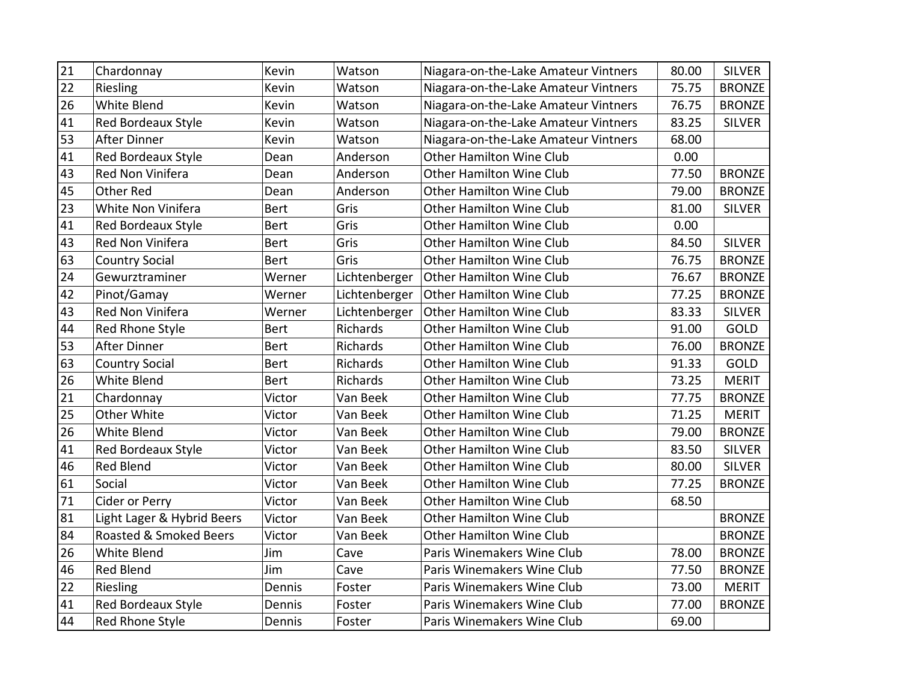| 21 | Chardonnay                 | Kevin       | Watson        | Niagara-on-the-Lake Amateur Vintners | 80.00 | <b>SILVER</b> |
|----|----------------------------|-------------|---------------|--------------------------------------|-------|---------------|
| 22 | Riesling                   | Kevin       | Watson        | Niagara-on-the-Lake Amateur Vintners | 75.75 | <b>BRONZE</b> |
| 26 | White Blend                | Kevin       | Watson        | Niagara-on-the-Lake Amateur Vintners | 76.75 | <b>BRONZE</b> |
| 41 | Red Bordeaux Style         | Kevin       | Watson        | Niagara-on-the-Lake Amateur Vintners | 83.25 | <b>SILVER</b> |
| 53 | After Dinner               | Kevin       | Watson        | Niagara-on-the-Lake Amateur Vintners | 68.00 |               |
| 41 | Red Bordeaux Style         | Dean        | Anderson      | <b>Other Hamilton Wine Club</b>      | 0.00  |               |
| 43 | Red Non Vinifera           | Dean        | Anderson      | <b>Other Hamilton Wine Club</b>      | 77.50 | <b>BRONZE</b> |
| 45 | <b>Other Red</b>           | Dean        | Anderson      | <b>Other Hamilton Wine Club</b>      | 79.00 | <b>BRONZE</b> |
| 23 | White Non Vinifera         | <b>Bert</b> | Gris          | <b>Other Hamilton Wine Club</b>      | 81.00 | <b>SILVER</b> |
| 41 | Red Bordeaux Style         | <b>Bert</b> | Gris          | Other Hamilton Wine Club             | 0.00  |               |
| 43 | Red Non Vinifera           | <b>Bert</b> | Gris          | <b>Other Hamilton Wine Club</b>      | 84.50 | <b>SILVER</b> |
| 63 | <b>Country Social</b>      | <b>Bert</b> | Gris          | <b>Other Hamilton Wine Club</b>      | 76.75 | <b>BRONZE</b> |
| 24 | Gewurztraminer             | Werner      | Lichtenberger | Other Hamilton Wine Club             | 76.67 | <b>BRONZE</b> |
| 42 | Pinot/Gamay                | Werner      | Lichtenberger | <b>Other Hamilton Wine Club</b>      | 77.25 | <b>BRONZE</b> |
| 43 | Red Non Vinifera           | Werner      | Lichtenberger | <b>Other Hamilton Wine Club</b>      | 83.33 | <b>SILVER</b> |
| 44 | Red Rhone Style            | <b>Bert</b> | Richards      | <b>Other Hamilton Wine Club</b>      | 91.00 | GOLD          |
| 53 | <b>After Dinner</b>        | <b>Bert</b> | Richards      | <b>Other Hamilton Wine Club</b>      | 76.00 | <b>BRONZE</b> |
| 63 | <b>Country Social</b>      | <b>Bert</b> | Richards      | <b>Other Hamilton Wine Club</b>      | 91.33 | GOLD          |
| 26 | White Blend                | <b>Bert</b> | Richards      | <b>Other Hamilton Wine Club</b>      | 73.25 | <b>MERIT</b>  |
| 21 | Chardonnay                 | Victor      | Van Beek      | <b>Other Hamilton Wine Club</b>      | 77.75 | <b>BRONZE</b> |
| 25 | Other White                | Victor      | Van Beek      | <b>Other Hamilton Wine Club</b>      | 71.25 | <b>MERIT</b>  |
| 26 | <b>White Blend</b>         | Victor      | Van Beek      | <b>Other Hamilton Wine Club</b>      | 79.00 | <b>BRONZE</b> |
| 41 | <b>Red Bordeaux Style</b>  | Victor      | Van Beek      | <b>Other Hamilton Wine Club</b>      | 83.50 | <b>SILVER</b> |
| 46 | Red Blend                  | Victor      | Van Beek      | <b>Other Hamilton Wine Club</b>      | 80.00 | <b>SILVER</b> |
| 61 | Social                     | Victor      | Van Beek      | <b>Other Hamilton Wine Club</b>      | 77.25 | <b>BRONZE</b> |
| 71 | Cider or Perry             | Victor      | Van Beek      | <b>Other Hamilton Wine Club</b>      | 68.50 |               |
| 81 | Light Lager & Hybrid Beers | Victor      | Van Beek      | <b>Other Hamilton Wine Club</b>      |       | <b>BRONZE</b> |
| 84 | Roasted & Smoked Beers     | Victor      | Van Beek      | <b>Other Hamilton Wine Club</b>      |       | <b>BRONZE</b> |
| 26 | White Blend                | Jim         | Cave          | Paris Winemakers Wine Club           | 78.00 | <b>BRONZE</b> |
| 46 | <b>Red Blend</b>           | Jim         | Cave          | Paris Winemakers Wine Club           | 77.50 | <b>BRONZE</b> |
| 22 | Riesling                   | Dennis      | Foster        | Paris Winemakers Wine Club           | 73.00 | <b>MERIT</b>  |
| 41 | Red Bordeaux Style         | Dennis      | Foster        | Paris Winemakers Wine Club           | 77.00 | <b>BRONZE</b> |
| 44 | <b>Red Rhone Style</b>     | Dennis      | Foster        | Paris Winemakers Wine Club           | 69.00 |               |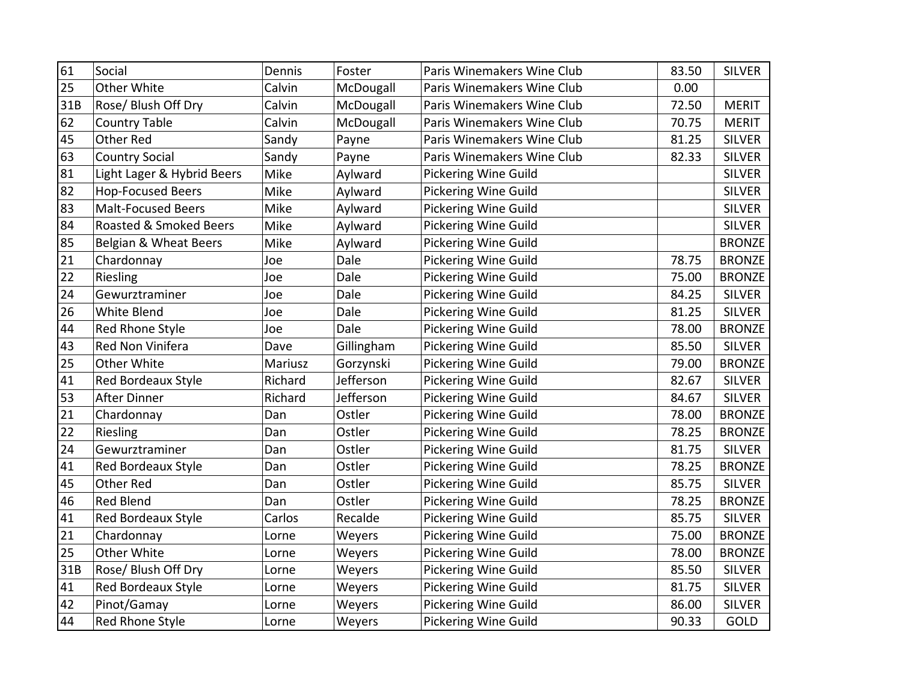| 61  | Social                     | Dennis  | Foster     | Paris Winemakers Wine Club  | 83.50 | <b>SILVER</b> |
|-----|----------------------------|---------|------------|-----------------------------|-------|---------------|
| 25  | Other White                | Calvin  | McDougall  | Paris Winemakers Wine Club  | 0.00  |               |
| 31B | Rose/ Blush Off Dry        | Calvin  | McDougall  | Paris Winemakers Wine Club  | 72.50 | <b>MERIT</b>  |
| 62  | <b>Country Table</b>       | Calvin  | McDougall  | Paris Winemakers Wine Club  | 70.75 | <b>MERIT</b>  |
| 45  | <b>Other Red</b>           | Sandy   | Payne      | Paris Winemakers Wine Club  | 81.25 | <b>SILVER</b> |
| 63  | <b>Country Social</b>      | Sandy   | Payne      | Paris Winemakers Wine Club  | 82.33 | <b>SILVER</b> |
| 81  | Light Lager & Hybrid Beers | Mike    | Aylward    | <b>Pickering Wine Guild</b> |       | <b>SILVER</b> |
| 82  | <b>Hop-Focused Beers</b>   | Mike    | Aylward    | <b>Pickering Wine Guild</b> |       | <b>SILVER</b> |
| 83  | <b>Malt-Focused Beers</b>  | Mike    | Aylward    | <b>Pickering Wine Guild</b> |       | <b>SILVER</b> |
| 84  | Roasted & Smoked Beers     | Mike    | Aylward    | <b>Pickering Wine Guild</b> |       | <b>SILVER</b> |
| 85  | Belgian & Wheat Beers      | Mike    | Aylward    | Pickering Wine Guild        |       | <b>BRONZE</b> |
| 21  | Chardonnay                 | Joe     | Dale       | Pickering Wine Guild        | 78.75 | <b>BRONZE</b> |
| 22  | Riesling                   | Joe     | Dale       | <b>Pickering Wine Guild</b> | 75.00 | <b>BRONZE</b> |
| 24  | Gewurztraminer             | Joe     | Dale       | <b>Pickering Wine Guild</b> | 84.25 | <b>SILVER</b> |
| 26  | White Blend                | Joe     | Dale       | <b>Pickering Wine Guild</b> | 81.25 | <b>SILVER</b> |
| 44  | Red Rhone Style            | Joe     | Dale       | <b>Pickering Wine Guild</b> | 78.00 | <b>BRONZE</b> |
| 43  | Red Non Vinifera           | Dave    | Gillingham | <b>Pickering Wine Guild</b> | 85.50 | <b>SILVER</b> |
| 25  | Other White                | Mariusz | Gorzynski  | <b>Pickering Wine Guild</b> | 79.00 | <b>BRONZE</b> |
| 41  | Red Bordeaux Style         | Richard | Jefferson  | <b>Pickering Wine Guild</b> | 82.67 | <b>SILVER</b> |
| 53  | After Dinner               | Richard | Jefferson  | <b>Pickering Wine Guild</b> | 84.67 | <b>SILVER</b> |
| 21  | Chardonnay                 | Dan     | Ostler     | <b>Pickering Wine Guild</b> | 78.00 | <b>BRONZE</b> |
| 22  | Riesling                   | Dan     | Ostler     | <b>Pickering Wine Guild</b> | 78.25 | <b>BRONZE</b> |
| 24  | Gewurztraminer             | Dan     | Ostler     | <b>Pickering Wine Guild</b> | 81.75 | <b>SILVER</b> |
| 41  | Red Bordeaux Style         | Dan     | Ostler     | <b>Pickering Wine Guild</b> | 78.25 | <b>BRONZE</b> |
| 45  | Other Red                  | Dan     | Ostler     | <b>Pickering Wine Guild</b> | 85.75 | <b>SILVER</b> |
| 46  | <b>Red Blend</b>           | Dan     | Ostler     | Pickering Wine Guild        | 78.25 | <b>BRONZE</b> |
| 41  | Red Bordeaux Style         | Carlos  | Recalde    | Pickering Wine Guild        | 85.75 | <b>SILVER</b> |
| 21  | Chardonnay                 | Lorne   | Weyers     | Pickering Wine Guild        | 75.00 | <b>BRONZE</b> |
| 25  | Other White                | Lorne   | Weyers     | Pickering Wine Guild        | 78.00 | <b>BRONZE</b> |
| 31B | Rose/ Blush Off Dry        | Lorne   | Weyers     | Pickering Wine Guild        | 85.50 | <b>SILVER</b> |
| 41  | Red Bordeaux Style         | Lorne   | Weyers     | Pickering Wine Guild        | 81.75 | <b>SILVER</b> |
| 42  | Pinot/Gamay                | Lorne   | Weyers     | <b>Pickering Wine Guild</b> | 86.00 | <b>SILVER</b> |
| 44  | <b>Red Rhone Style</b>     | Lorne   | Weyers     | Pickering Wine Guild        | 90.33 | GOLD          |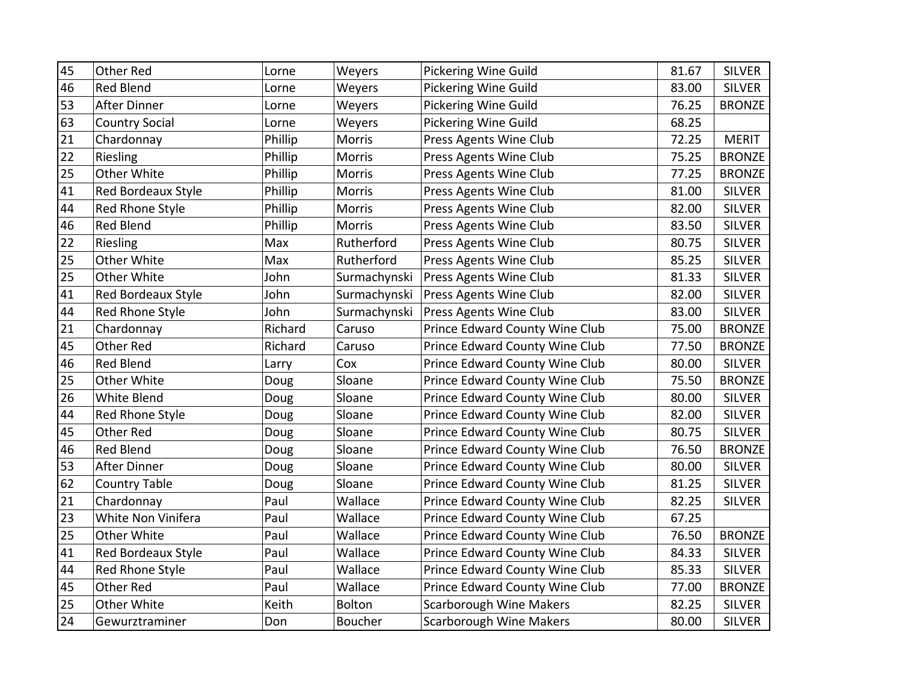| 45 | Other Red                 | Lorne   | Weyers         | <b>Pickering Wine Guild</b>    | 81.67 | <b>SILVER</b> |
|----|---------------------------|---------|----------------|--------------------------------|-------|---------------|
| 46 | <b>Red Blend</b>          | Lorne   | Weyers         | <b>Pickering Wine Guild</b>    | 83.00 | <b>SILVER</b> |
| 53 | <b>After Dinner</b>       | Lorne   | Weyers         | <b>Pickering Wine Guild</b>    | 76.25 | <b>BRONZE</b> |
| 63 | <b>Country Social</b>     | Lorne   | Weyers         | Pickering Wine Guild           | 68.25 |               |
| 21 | Chardonnay                | Phillip | Morris         | Press Agents Wine Club         | 72.25 | <b>MERIT</b>  |
| 22 | Riesling                  | Phillip | Morris         | Press Agents Wine Club         | 75.25 | <b>BRONZE</b> |
| 25 | <b>Other White</b>        | Phillip | Morris         | Press Agents Wine Club         | 77.25 | <b>BRONZE</b> |
| 41 | <b>Red Bordeaux Style</b> | Phillip | Morris         | Press Agents Wine Club         | 81.00 | <b>SILVER</b> |
| 44 | Red Rhone Style           | Phillip | Morris         | Press Agents Wine Club         | 82.00 | <b>SILVER</b> |
| 46 | Red Blend                 | Phillip | Morris         | Press Agents Wine Club         | 83.50 | <b>SILVER</b> |
| 22 | Riesling                  | Max     | Rutherford     | Press Agents Wine Club         | 80.75 | <b>SILVER</b> |
| 25 | Other White               | Max     | Rutherford     | Press Agents Wine Club         | 85.25 | <b>SILVER</b> |
| 25 | Other White               | John    | Surmachynski   | Press Agents Wine Club         | 81.33 | <b>SILVER</b> |
| 41 | Red Bordeaux Style        | John    | Surmachynski   | Press Agents Wine Club         | 82.00 | <b>SILVER</b> |
| 44 | Red Rhone Style           | John    | Surmachynski   | Press Agents Wine Club         | 83.00 | <b>SILVER</b> |
| 21 | Chardonnay                | Richard | Caruso         | Prince Edward County Wine Club | 75.00 | <b>BRONZE</b> |
| 45 | Other Red                 | Richard | Caruso         | Prince Edward County Wine Club | 77.50 | <b>BRONZE</b> |
| 46 | <b>Red Blend</b>          | Larry   | Cox            | Prince Edward County Wine Club | 80.00 | <b>SILVER</b> |
| 25 | Other White               | Doug    | Sloane         | Prince Edward County Wine Club | 75.50 | <b>BRONZE</b> |
| 26 | White Blend               | Doug    | Sloane         | Prince Edward County Wine Club | 80.00 | <b>SILVER</b> |
| 44 | Red Rhone Style           | Doug    | Sloane         | Prince Edward County Wine Club | 82.00 | <b>SILVER</b> |
| 45 | <b>Other Red</b>          | Doug    | Sloane         | Prince Edward County Wine Club | 80.75 | <b>SILVER</b> |
| 46 | <b>Red Blend</b>          | Doug    | Sloane         | Prince Edward County Wine Club | 76.50 | <b>BRONZE</b> |
| 53 | <b>After Dinner</b>       | Doug    | Sloane         | Prince Edward County Wine Club | 80.00 | <b>SILVER</b> |
| 62 | <b>Country Table</b>      | Doug    | Sloane         | Prince Edward County Wine Club | 81.25 | <b>SILVER</b> |
| 21 | Chardonnay                | Paul    | Wallace        | Prince Edward County Wine Club | 82.25 | <b>SILVER</b> |
| 23 | White Non Vinifera        | Paul    | Wallace        | Prince Edward County Wine Club | 67.25 |               |
| 25 | Other White               | Paul    | Wallace        | Prince Edward County Wine Club | 76.50 | <b>BRONZE</b> |
| 41 | Red Bordeaux Style        | Paul    | Wallace        | Prince Edward County Wine Club | 84.33 | <b>SILVER</b> |
| 44 | Red Rhone Style           | Paul    | Wallace        | Prince Edward County Wine Club | 85.33 | <b>SILVER</b> |
| 45 | <b>Other Red</b>          | Paul    | Wallace        | Prince Edward County Wine Club | 77.00 | <b>BRONZE</b> |
| 25 | Other White               | Keith   | <b>Bolton</b>  | <b>Scarborough Wine Makers</b> | 82.25 | <b>SILVER</b> |
| 24 | Gewurztraminer            | Don     | <b>Boucher</b> | <b>Scarborough Wine Makers</b> | 80.00 | <b>SILVER</b> |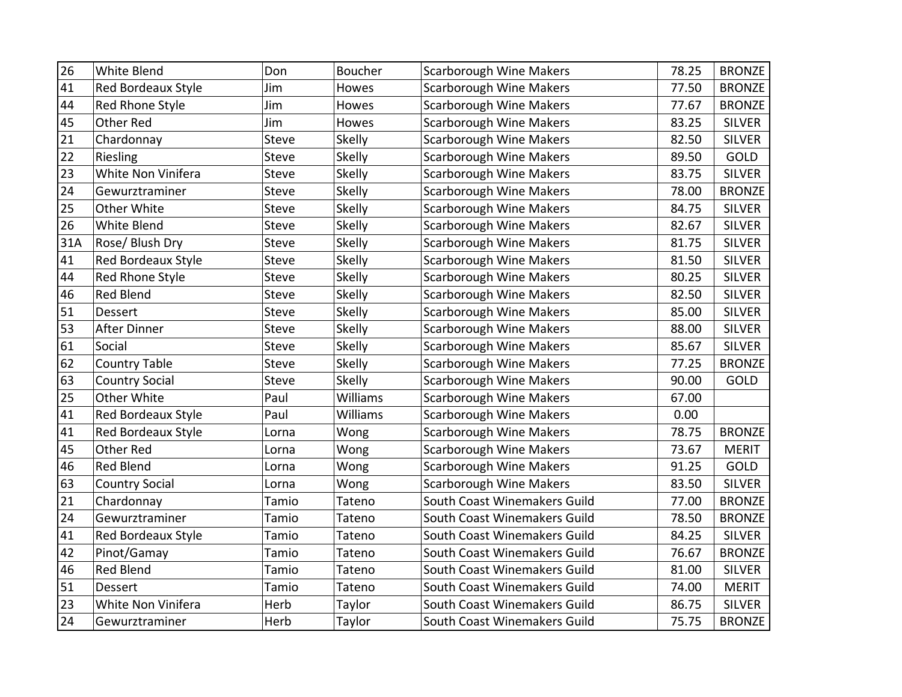| 26  | White Blend               | Don          | <b>Boucher</b> | <b>Scarborough Wine Makers</b> | 78.25 | <b>BRONZE</b> |
|-----|---------------------------|--------------|----------------|--------------------------------|-------|---------------|
| 41  | <b>Red Bordeaux Style</b> | Jim          | Howes          | <b>Scarborough Wine Makers</b> | 77.50 | <b>BRONZE</b> |
| 44  | Red Rhone Style           | Jim          | Howes          | <b>Scarborough Wine Makers</b> | 77.67 | <b>BRONZE</b> |
| 45  | Other Red                 | Jim          | Howes          | <b>Scarborough Wine Makers</b> | 83.25 | <b>SILVER</b> |
| 21  | Chardonnay                | <b>Steve</b> | <b>Skelly</b>  | <b>Scarborough Wine Makers</b> | 82.50 | <b>SILVER</b> |
| 22  | Riesling                  | Steve        | Skelly         | <b>Scarborough Wine Makers</b> | 89.50 | <b>GOLD</b>   |
| 23  | White Non Vinifera        | Steve        | Skelly         | <b>Scarborough Wine Makers</b> | 83.75 | <b>SILVER</b> |
| 24  | Gewurztraminer            | Steve        | Skelly         | <b>Scarborough Wine Makers</b> | 78.00 | <b>BRONZE</b> |
| 25  | Other White               | Steve        | Skelly         | <b>Scarborough Wine Makers</b> | 84.75 | <b>SILVER</b> |
| 26  | White Blend               | <b>Steve</b> | Skelly         | <b>Scarborough Wine Makers</b> | 82.67 | <b>SILVER</b> |
| 31A | Rose/ Blush Dry           | Steve        | Skelly         | Scarborough Wine Makers        | 81.75 | <b>SILVER</b> |
| 41  | Red Bordeaux Style        | Steve        | Skelly         | <b>Scarborough Wine Makers</b> | 81.50 | <b>SILVER</b> |
| 44  | Red Rhone Style           | Steve        | <b>Skelly</b>  | <b>Scarborough Wine Makers</b> | 80.25 | <b>SILVER</b> |
| 46  | <b>Red Blend</b>          | Steve        | Skelly         | <b>Scarborough Wine Makers</b> | 82.50 | <b>SILVER</b> |
| 51  | Dessert                   | Steve        | Skelly         | <b>Scarborough Wine Makers</b> | 85.00 | <b>SILVER</b> |
| 53  | After Dinner              | <b>Steve</b> | <b>Skelly</b>  | <b>Scarborough Wine Makers</b> | 88.00 | <b>SILVER</b> |
| 61  | Social                    | <b>Steve</b> | Skelly         | <b>Scarborough Wine Makers</b> | 85.67 | <b>SILVER</b> |
| 62  | <b>Country Table</b>      | <b>Steve</b> | Skelly         | <b>Scarborough Wine Makers</b> | 77.25 | <b>BRONZE</b> |
| 63  | <b>Country Social</b>     | Steve        | <b>Skelly</b>  | <b>Scarborough Wine Makers</b> | 90.00 | GOLD          |
| 25  | Other White               | Paul         | Williams       | <b>Scarborough Wine Makers</b> | 67.00 |               |
| 41  | Red Bordeaux Style        | Paul         | Williams       | <b>Scarborough Wine Makers</b> | 0.00  |               |
| 41  | Red Bordeaux Style        | Lorna        | Wong           | <b>Scarborough Wine Makers</b> | 78.75 | <b>BRONZE</b> |
| 45  | Other Red                 | Lorna        | Wong           | <b>Scarborough Wine Makers</b> | 73.67 | <b>MERIT</b>  |
| 46  | <b>Red Blend</b>          | Lorna        | Wong           | Scarborough Wine Makers        | 91.25 | GOLD          |
| 63  | <b>Country Social</b>     | Lorna        | Wong           | <b>Scarborough Wine Makers</b> | 83.50 | <b>SILVER</b> |
| 21  | Chardonnay                | Tamio        | Tateno         | South Coast Winemakers Guild   | 77.00 | <b>BRONZE</b> |
| 24  | Gewurztraminer            | Tamio        | Tateno         | South Coast Winemakers Guild   | 78.50 | <b>BRONZE</b> |
| 41  | Red Bordeaux Style        | Tamio        | Tateno         | South Coast Winemakers Guild   | 84.25 | <b>SILVER</b> |
| 42  | Pinot/Gamay               | Tamio        | Tateno         | South Coast Winemakers Guild   | 76.67 | <b>BRONZE</b> |
| 46  | <b>Red Blend</b>          | Tamio        | Tateno         | South Coast Winemakers Guild   | 81.00 | <b>SILVER</b> |
| 51  | <b>Dessert</b>            | Tamio        | Tateno         | South Coast Winemakers Guild   | 74.00 | <b>MERIT</b>  |
| 23  | White Non Vinifera        | Herb         | Taylor         | South Coast Winemakers Guild   | 86.75 | <b>SILVER</b> |
| 24  | Gewurztraminer            | Herb         | Taylor         | South Coast Winemakers Guild   | 75.75 | <b>BRONZE</b> |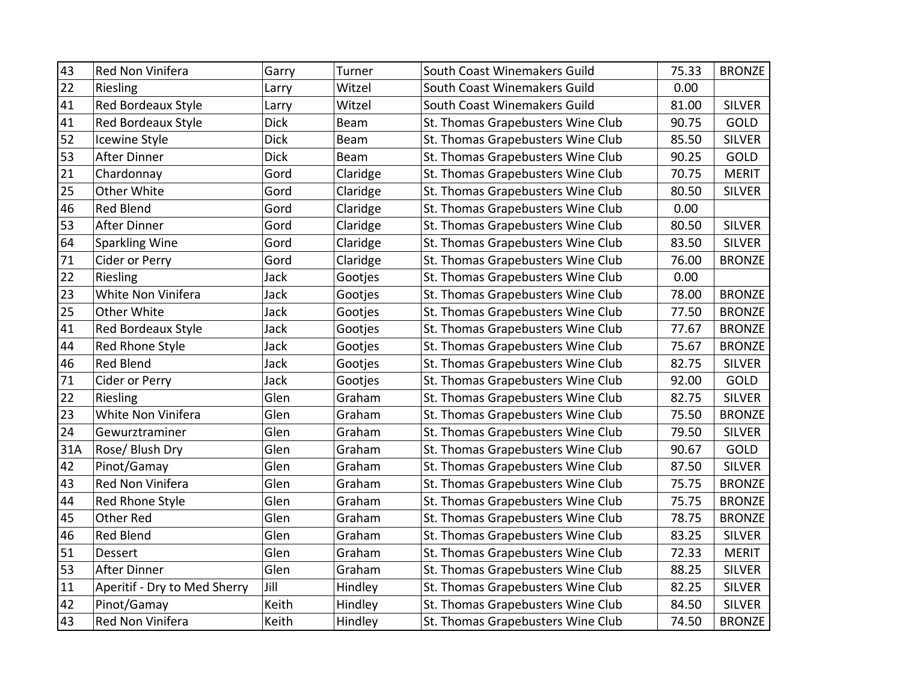| 43  | Red Non Vinifera             | Garry       | Turner   | South Coast Winemakers Guild      | 75.33 | <b>BRONZE</b> |
|-----|------------------------------|-------------|----------|-----------------------------------|-------|---------------|
| 22  | Riesling                     | Larry       | Witzel   | South Coast Winemakers Guild      | 0.00  |               |
| 41  | Red Bordeaux Style           | Larry       | Witzel   | South Coast Winemakers Guild      | 81.00 | <b>SILVER</b> |
| 41  | Red Bordeaux Style           | <b>Dick</b> | Beam     | St. Thomas Grapebusters Wine Club | 90.75 | GOLD          |
| 52  | Icewine Style                | <b>Dick</b> | Beam     | St. Thomas Grapebusters Wine Club | 85.50 | <b>SILVER</b> |
| 53  | <b>After Dinner</b>          | <b>Dick</b> | Beam     | St. Thomas Grapebusters Wine Club | 90.25 | <b>GOLD</b>   |
| 21  | Chardonnay                   | Gord        | Claridge | St. Thomas Grapebusters Wine Club | 70.75 | <b>MERIT</b>  |
| 25  | Other White                  | Gord        | Claridge | St. Thomas Grapebusters Wine Club | 80.50 | <b>SILVER</b> |
| 46  | <b>Red Blend</b>             | Gord        | Claridge | St. Thomas Grapebusters Wine Club | 0.00  |               |
| 53  | <b>After Dinner</b>          | Gord        | Claridge | St. Thomas Grapebusters Wine Club | 80.50 | <b>SILVER</b> |
| 64  | <b>Sparkling Wine</b>        | Gord        | Claridge | St. Thomas Grapebusters Wine Club | 83.50 | <b>SILVER</b> |
| 71  | Cider or Perry               | Gord        | Claridge | St. Thomas Grapebusters Wine Club | 76.00 | <b>BRONZE</b> |
| 22  | Riesling                     | Jack        | Gootjes  | St. Thomas Grapebusters Wine Club | 0.00  |               |
| 23  | White Non Vinifera           | Jack        | Gootjes  | St. Thomas Grapebusters Wine Club | 78.00 | <b>BRONZE</b> |
| 25  | Other White                  | Jack        | Gootjes  | St. Thomas Grapebusters Wine Club | 77.50 | <b>BRONZE</b> |
| 41  | Red Bordeaux Style           | Jack        | Gootjes  | St. Thomas Grapebusters Wine Club | 77.67 | <b>BRONZE</b> |
| 44  | Red Rhone Style              | Jack        | Gootjes  | St. Thomas Grapebusters Wine Club | 75.67 | <b>BRONZE</b> |
| 46  | <b>Red Blend</b>             | Jack        | Gootjes  | St. Thomas Grapebusters Wine Club | 82.75 | <b>SILVER</b> |
| 71  | Cider or Perry               | Jack        | Gootjes  | St. Thomas Grapebusters Wine Club | 92.00 | GOLD          |
| 22  | Riesling                     | Glen        | Graham   | St. Thomas Grapebusters Wine Club | 82.75 | <b>SILVER</b> |
| 23  | White Non Vinifera           | Glen        | Graham   | St. Thomas Grapebusters Wine Club | 75.50 | <b>BRONZE</b> |
| 24  | Gewurztraminer               | Glen        | Graham   | St. Thomas Grapebusters Wine Club | 79.50 | <b>SILVER</b> |
| 31A | Rose/ Blush Dry              | Glen        | Graham   | St. Thomas Grapebusters Wine Club | 90.67 | GOLD          |
| 42  | Pinot/Gamay                  | Glen        | Graham   | St. Thomas Grapebusters Wine Club | 87.50 | <b>SILVER</b> |
| 43  | Red Non Vinifera             | Glen        | Graham   | St. Thomas Grapebusters Wine Club | 75.75 | <b>BRONZE</b> |
| 44  | Red Rhone Style              | Glen        | Graham   | St. Thomas Grapebusters Wine Club | 75.75 | <b>BRONZE</b> |
| 45  | Other Red                    | Glen        | Graham   | St. Thomas Grapebusters Wine Club | 78.75 | <b>BRONZE</b> |
| 46  | Red Blend                    | Glen        | Graham   | St. Thomas Grapebusters Wine Club | 83.25 | <b>SILVER</b> |
| 51  | Dessert                      | Glen        | Graham   | St. Thomas Grapebusters Wine Club | 72.33 | <b>MERIT</b>  |
| 53  | <b>After Dinner</b>          | Glen        | Graham   | St. Thomas Grapebusters Wine Club | 88.25 | <b>SILVER</b> |
| 11  | Aperitif - Dry to Med Sherry | Jill        | Hindley  | St. Thomas Grapebusters Wine Club | 82.25 | <b>SILVER</b> |
| 42  | Pinot/Gamay                  | Keith       | Hindley  | St. Thomas Grapebusters Wine Club | 84.50 | <b>SILVER</b> |
| 43  | Red Non Vinifera             | Keith       | Hindley  | St. Thomas Grapebusters Wine Club | 74.50 | <b>BRONZE</b> |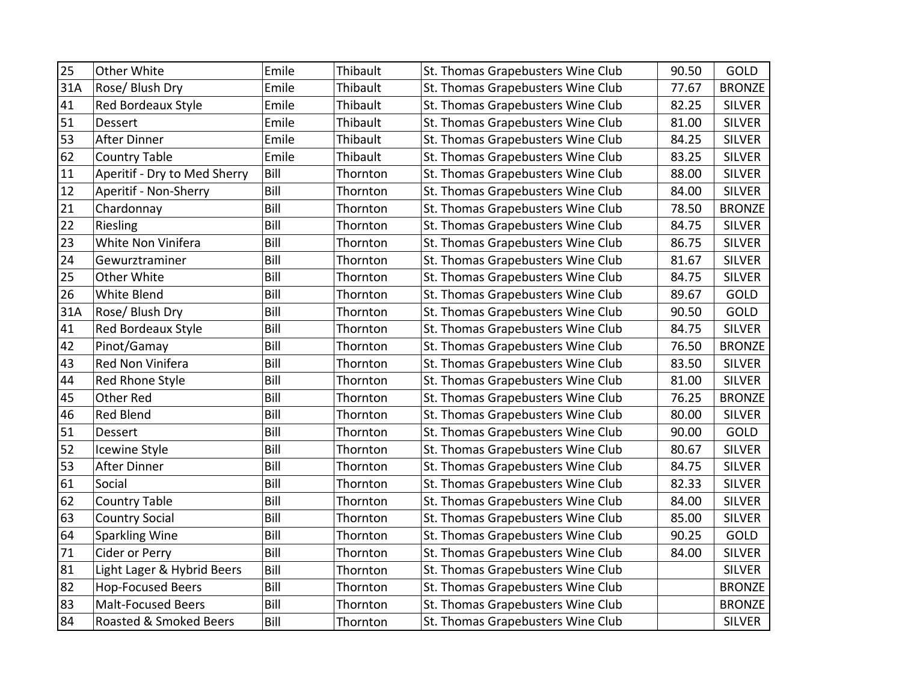| 25  | Other White                  | Emile | Thibault | St. Thomas Grapebusters Wine Club | 90.50 | GOLD          |
|-----|------------------------------|-------|----------|-----------------------------------|-------|---------------|
| 31A | Rose/ Blush Dry              | Emile | Thibault | St. Thomas Grapebusters Wine Club | 77.67 | <b>BRONZE</b> |
| 41  | <b>Red Bordeaux Style</b>    | Emile | Thibault | St. Thomas Grapebusters Wine Club | 82.25 | <b>SILVER</b> |
| 51  | Dessert                      | Emile | Thibault | St. Thomas Grapebusters Wine Club | 81.00 | <b>SILVER</b> |
| 53  | <b>After Dinner</b>          | Emile | Thibault | St. Thomas Grapebusters Wine Club | 84.25 | <b>SILVER</b> |
| 62  | <b>Country Table</b>         | Emile | Thibault | St. Thomas Grapebusters Wine Club | 83.25 | <b>SILVER</b> |
| 11  | Aperitif - Dry to Med Sherry | Bill  | Thornton | St. Thomas Grapebusters Wine Club | 88.00 | <b>SILVER</b> |
| 12  | Aperitif - Non-Sherry        | Bill  | Thornton | St. Thomas Grapebusters Wine Club | 84.00 | <b>SILVER</b> |
| 21  | Chardonnay                   | Bill  | Thornton | St. Thomas Grapebusters Wine Club | 78.50 | <b>BRONZE</b> |
| 22  | Riesling                     | Bill  | Thornton | St. Thomas Grapebusters Wine Club | 84.75 | <b>SILVER</b> |
| 23  | White Non Vinifera           | Bill  | Thornton | St. Thomas Grapebusters Wine Club | 86.75 | <b>SILVER</b> |
| 24  | Gewurztraminer               | Bill  | Thornton | St. Thomas Grapebusters Wine Club | 81.67 | <b>SILVER</b> |
| 25  | Other White                  | Bill  | Thornton | St. Thomas Grapebusters Wine Club | 84.75 | <b>SILVER</b> |
| 26  | White Blend                  | Bill  | Thornton | St. Thomas Grapebusters Wine Club | 89.67 | GOLD          |
| 31A | Rose/ Blush Dry              | Bill  | Thornton | St. Thomas Grapebusters Wine Club | 90.50 | GOLD          |
| 41  | Red Bordeaux Style           | Bill  | Thornton | St. Thomas Grapebusters Wine Club | 84.75 | <b>SILVER</b> |
| 42  | Pinot/Gamay                  | Bill  | Thornton | St. Thomas Grapebusters Wine Club | 76.50 | <b>BRONZE</b> |
| 43  | Red Non Vinifera             | Bill  | Thornton | St. Thomas Grapebusters Wine Club | 83.50 | <b>SILVER</b> |
| 44  | Red Rhone Style              | Bill  | Thornton | St. Thomas Grapebusters Wine Club | 81.00 | <b>SILVER</b> |
| 45  | Other Red                    | Bill  | Thornton | St. Thomas Grapebusters Wine Club | 76.25 | <b>BRONZE</b> |
| 46  | <b>Red Blend</b>             | Bill  | Thornton | St. Thomas Grapebusters Wine Club | 80.00 | <b>SILVER</b> |
| 51  | <b>Dessert</b>               | Bill  | Thornton | St. Thomas Grapebusters Wine Club | 90.00 | GOLD          |
| 52  | Icewine Style                | Bill  | Thornton | St. Thomas Grapebusters Wine Club | 80.67 | <b>SILVER</b> |
| 53  | <b>After Dinner</b>          | Bill  | Thornton | St. Thomas Grapebusters Wine Club | 84.75 | <b>SILVER</b> |
| 61  | Social                       | Bill  | Thornton | St. Thomas Grapebusters Wine Club | 82.33 | <b>SILVER</b> |
| 62  | <b>Country Table</b>         | Bill  | Thornton | St. Thomas Grapebusters Wine Club | 84.00 | <b>SILVER</b> |
| 63  | <b>Country Social</b>        | Bill  | Thornton | St. Thomas Grapebusters Wine Club | 85.00 | <b>SILVER</b> |
| 64  | <b>Sparkling Wine</b>        | Bill  | Thornton | St. Thomas Grapebusters Wine Club | 90.25 | GOLD          |
| 71  | Cider or Perry               | Bill  | Thornton | St. Thomas Grapebusters Wine Club | 84.00 | <b>SILVER</b> |
| 81  | Light Lager & Hybrid Beers   | Bill  | Thornton | St. Thomas Grapebusters Wine Club |       | <b>SILVER</b> |
| 82  | <b>Hop-Focused Beers</b>     | Bill  | Thornton | St. Thomas Grapebusters Wine Club |       | <b>BRONZE</b> |
| 83  | <b>Malt-Focused Beers</b>    | Bill  | Thornton | St. Thomas Grapebusters Wine Club |       | <b>BRONZE</b> |
| 84  | Roasted & Smoked Beers       | Bill  | Thornton | St. Thomas Grapebusters Wine Club |       | <b>SILVER</b> |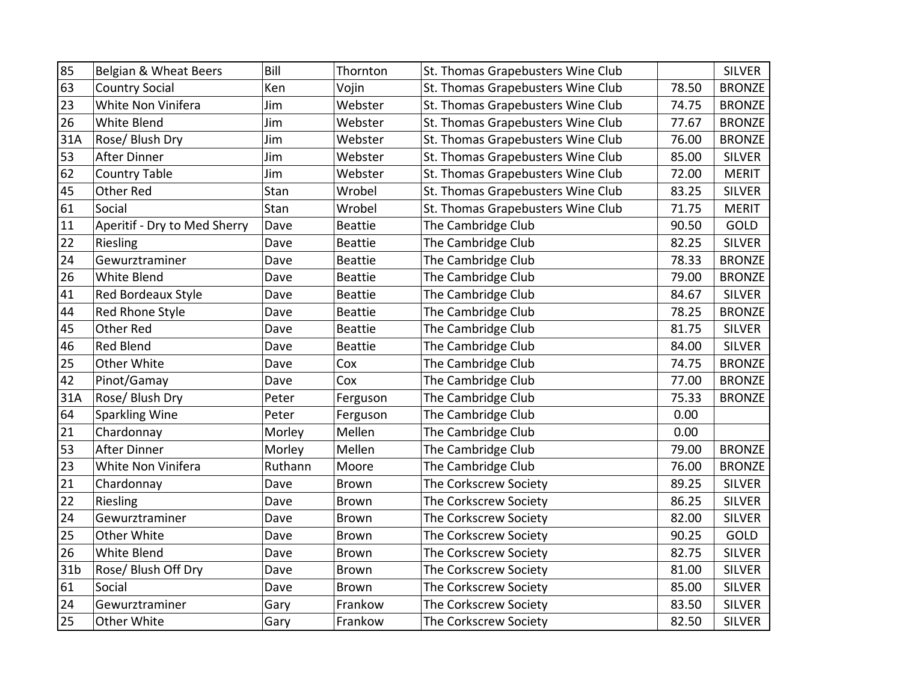| 85              | Belgian & Wheat Beers        | Bill    | Thornton       | St. Thomas Grapebusters Wine Club |       | <b>SILVER</b> |
|-----------------|------------------------------|---------|----------------|-----------------------------------|-------|---------------|
| 63              | <b>Country Social</b>        | Ken     | Vojin          | St. Thomas Grapebusters Wine Club | 78.50 | <b>BRONZE</b> |
| 23              | White Non Vinifera           | Jim     | Webster        | St. Thomas Grapebusters Wine Club | 74.75 | <b>BRONZE</b> |
| 26              | White Blend                  | Jim     | Webster        | St. Thomas Grapebusters Wine Club | 77.67 | <b>BRONZE</b> |
| 31A             | Rose/ Blush Dry              | Jim     | Webster        | St. Thomas Grapebusters Wine Club | 76.00 | <b>BRONZE</b> |
| 53              | After Dinner                 | Jim     | Webster        | St. Thomas Grapebusters Wine Club | 85.00 | <b>SILVER</b> |
| 62              | <b>Country Table</b>         | Jim     | Webster        | St. Thomas Grapebusters Wine Club | 72.00 | <b>MERIT</b>  |
| 45              | <b>Other Red</b>             | Stan    | Wrobel         | St. Thomas Grapebusters Wine Club | 83.25 | <b>SILVER</b> |
| 61              | Social                       | Stan    | Wrobel         | St. Thomas Grapebusters Wine Club | 71.75 | <b>MERIT</b>  |
| 11              | Aperitif - Dry to Med Sherry | Dave    | <b>Beattie</b> | The Cambridge Club                | 90.50 | GOLD          |
| 22              | Riesling                     | Dave    | <b>Beattie</b> | The Cambridge Club                | 82.25 | <b>SILVER</b> |
| 24              | Gewurztraminer               | Dave    | <b>Beattie</b> | The Cambridge Club                | 78.33 | <b>BRONZE</b> |
| 26              | <b>White Blend</b>           | Dave    | <b>Beattie</b> | The Cambridge Club                | 79.00 | <b>BRONZE</b> |
| 41              | Red Bordeaux Style           | Dave    | <b>Beattie</b> | The Cambridge Club                | 84.67 | <b>SILVER</b> |
| 44              | Red Rhone Style              | Dave    | <b>Beattie</b> | The Cambridge Club                | 78.25 | <b>BRONZE</b> |
| 45              | <b>Other Red</b>             | Dave    | <b>Beattie</b> | The Cambridge Club                | 81.75 | <b>SILVER</b> |
| 46              | Red Blend                    | Dave    | <b>Beattie</b> | The Cambridge Club                | 84.00 | <b>SILVER</b> |
| 25              | Other White                  | Dave    | Cox            | The Cambridge Club                | 74.75 | <b>BRONZE</b> |
| 42              | Pinot/Gamay                  | Dave    | Cox            | The Cambridge Club                | 77.00 | <b>BRONZE</b> |
| 31A             | Rose/ Blush Dry              | Peter   | Ferguson       | The Cambridge Club                | 75.33 | <b>BRONZE</b> |
| 64              | <b>Sparkling Wine</b>        | Peter   | Ferguson       | The Cambridge Club                | 0.00  |               |
| 21              | Chardonnay                   | Morley  | Mellen         | The Cambridge Club                | 0.00  |               |
| 53              | <b>After Dinner</b>          | Morley  | Mellen         | The Cambridge Club                | 79.00 | <b>BRONZE</b> |
| 23              | White Non Vinifera           | Ruthann | Moore          | The Cambridge Club                | 76.00 | <b>BRONZE</b> |
| 21              | Chardonnay                   | Dave    | <b>Brown</b>   | The Corkscrew Society             | 89.25 | <b>SILVER</b> |
| 22              | Riesling                     | Dave    | <b>Brown</b>   | The Corkscrew Society             | 86.25 | <b>SILVER</b> |
| 24              | Gewurztraminer               | Dave    | <b>Brown</b>   | The Corkscrew Society             | 82.00 | <b>SILVER</b> |
| 25              | Other White                  | Dave    | <b>Brown</b>   | The Corkscrew Society             | 90.25 | GOLD          |
| 26              | White Blend                  | Dave    | <b>Brown</b>   | The Corkscrew Society             | 82.75 | <b>SILVER</b> |
| 31 <sub>b</sub> | Rose/ Blush Off Dry          | Dave    | <b>Brown</b>   | The Corkscrew Society             | 81.00 | <b>SILVER</b> |
| 61              | Social                       | Dave    | <b>Brown</b>   | The Corkscrew Society             | 85.00 | <b>SILVER</b> |
| 24              | Gewurztraminer               | Gary    | Frankow        | The Corkscrew Society             | 83.50 | <b>SILVER</b> |
| 25              | Other White                  | Gary    | Frankow        | The Corkscrew Society             | 82.50 | <b>SILVER</b> |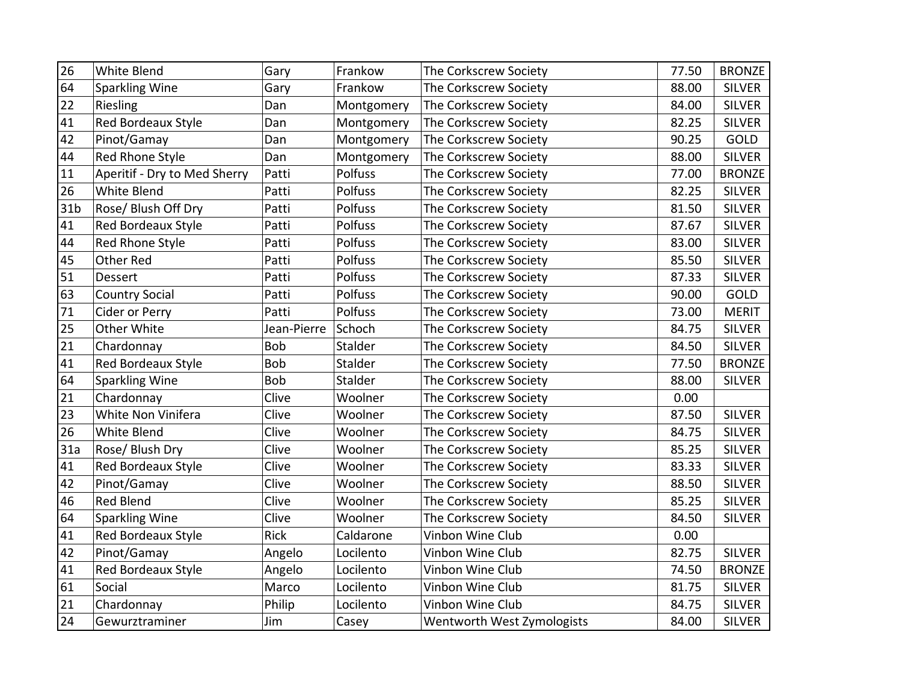| 26              | White Blend                  | Gary        | Frankow    | The Corkscrew Society      | 77.50 | <b>BRONZE</b> |
|-----------------|------------------------------|-------------|------------|----------------------------|-------|---------------|
| 64              | Sparkling Wine               | Gary        | Frankow    | The Corkscrew Society      | 88.00 | <b>SILVER</b> |
| 22              | Riesling                     | Dan         | Montgomery | The Corkscrew Society      | 84.00 | <b>SILVER</b> |
| 41              | Red Bordeaux Style           | Dan         | Montgomery | The Corkscrew Society      | 82.25 | <b>SILVER</b> |
| 42              | Pinot/Gamay                  | Dan         | Montgomery | The Corkscrew Society      | 90.25 | GOLD          |
| 44              | Red Rhone Style              | Dan         | Montgomery | The Corkscrew Society      | 88.00 | <b>SILVER</b> |
| 11              | Aperitif - Dry to Med Sherry | Patti       | Polfuss    | The Corkscrew Society      | 77.00 | <b>BRONZE</b> |
| 26              | White Blend                  | Patti       | Polfuss    | The Corkscrew Society      | 82.25 | <b>SILVER</b> |
| 31 <sub>b</sub> | Rose/ Blush Off Dry          | Patti       | Polfuss    | The Corkscrew Society      | 81.50 | <b>SILVER</b> |
| 41              | Red Bordeaux Style           | Patti       | Polfuss    | The Corkscrew Society      | 87.67 | <b>SILVER</b> |
| 44              | Red Rhone Style              | Patti       | Polfuss    | The Corkscrew Society      | 83.00 | <b>SILVER</b> |
| 45              | Other Red                    | Patti       | Polfuss    | The Corkscrew Society      | 85.50 | <b>SILVER</b> |
| 51              | <b>Dessert</b>               | Patti       | Polfuss    | The Corkscrew Society      | 87.33 | <b>SILVER</b> |
| 63              | <b>Country Social</b>        | Patti       | Polfuss    | The Corkscrew Society      | 90.00 | <b>GOLD</b>   |
| 71              | Cider or Perry               | Patti       | Polfuss    | The Corkscrew Society      | 73.00 | <b>MERIT</b>  |
| 25              | Other White                  | Jean-Pierre | Schoch     | The Corkscrew Society      | 84.75 | <b>SILVER</b> |
| 21              | Chardonnay                   | <b>Bob</b>  | Stalder    | The Corkscrew Society      | 84.50 | <b>SILVER</b> |
| 41              | Red Bordeaux Style           | Bob         | Stalder    | The Corkscrew Society      | 77.50 | <b>BRONZE</b> |
| 64              | <b>Sparkling Wine</b>        | Bob         | Stalder    | The Corkscrew Society      | 88.00 | <b>SILVER</b> |
| 21              | Chardonnay                   | Clive       | Woolner    | The Corkscrew Society      | 0.00  |               |
| 23              | White Non Vinifera           | Clive       | Woolner    | The Corkscrew Society      | 87.50 | <b>SILVER</b> |
| 26              | <b>White Blend</b>           | Clive       | Woolner    | The Corkscrew Society      | 84.75 | <b>SILVER</b> |
| 31a             | Rose/ Blush Dry              | Clive       | Woolner    | The Corkscrew Society      | 85.25 | <b>SILVER</b> |
| 41              | Red Bordeaux Style           | Clive       | Woolner    | The Corkscrew Society      | 83.33 | <b>SILVER</b> |
| 42              | Pinot/Gamay                  | Clive       | Woolner    | The Corkscrew Society      | 88.50 | <b>SILVER</b> |
| 46              | <b>Red Blend</b>             | Clive       | Woolner    | The Corkscrew Society      | 85.25 | <b>SILVER</b> |
| 64              | Sparkling Wine               | Clive       | Woolner    | The Corkscrew Society      | 84.50 | <b>SILVER</b> |
| 41              | Red Bordeaux Style           | <b>Rick</b> | Caldarone  | Vinbon Wine Club           | 0.00  |               |
| 42              | Pinot/Gamay                  | Angelo      | Locilento  | Vinbon Wine Club           | 82.75 | <b>SILVER</b> |
| 41              | <b>Red Bordeaux Style</b>    | Angelo      | Locilento  | Vinbon Wine Club           | 74.50 | <b>BRONZE</b> |
| 61              | Social                       | Marco       | Locilento  | Vinbon Wine Club           | 81.75 | <b>SILVER</b> |
| 21              | Chardonnay                   | Philip      | Locilento  | Vinbon Wine Club           | 84.75 | <b>SILVER</b> |
| 24              | Gewurztraminer               | Jim         | Casey      | Wentworth West Zymologists | 84.00 | <b>SILVER</b> |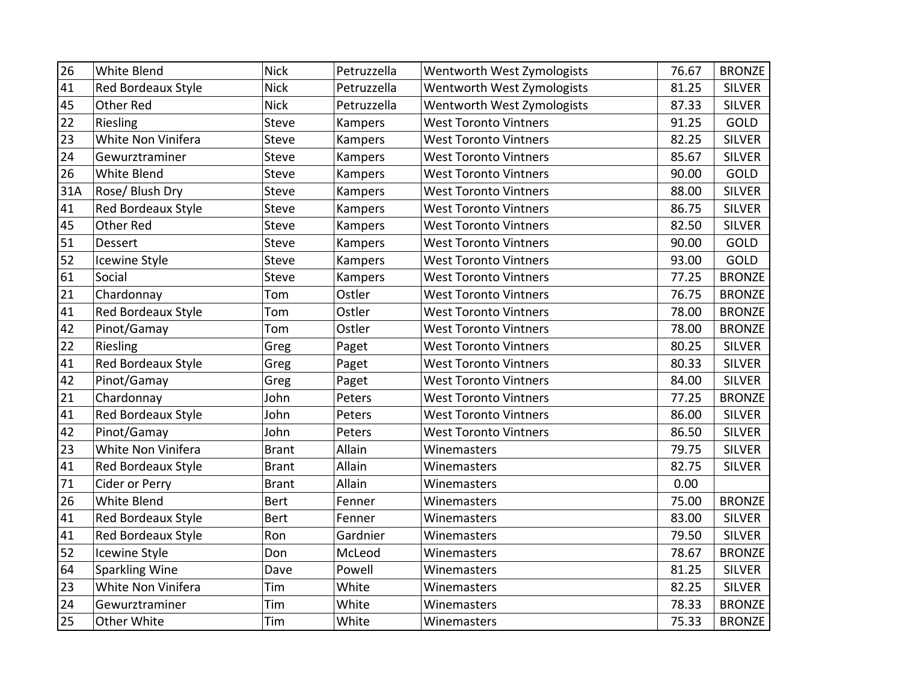| 26  | White Blend               | <b>Nick</b>  | Petruzzella | Wentworth West Zymologists   | 76.67 | <b>BRONZE</b> |
|-----|---------------------------|--------------|-------------|------------------------------|-------|---------------|
| 41  | <b>Red Bordeaux Style</b> | <b>Nick</b>  | Petruzzella | Wentworth West Zymologists   | 81.25 | <b>SILVER</b> |
| 45  | <b>Other Red</b>          | <b>Nick</b>  | Petruzzella | Wentworth West Zymologists   | 87.33 | <b>SILVER</b> |
| 22  | Riesling                  | Steve        | Kampers     | <b>West Toronto Vintners</b> | 91.25 | GOLD          |
| 23  | White Non Vinifera        | <b>Steve</b> | Kampers     | <b>West Toronto Vintners</b> | 82.25 | <b>SILVER</b> |
| 24  | Gewurztraminer            | <b>Steve</b> | Kampers     | <b>West Toronto Vintners</b> | 85.67 | <b>SILVER</b> |
| 26  | <b>White Blend</b>        | Steve        | Kampers     | <b>West Toronto Vintners</b> | 90.00 | GOLD          |
| 31A | Rose/ Blush Dry           | <b>Steve</b> | Kampers     | <b>West Toronto Vintners</b> | 88.00 | <b>SILVER</b> |
| 41  | Red Bordeaux Style        | <b>Steve</b> | Kampers     | <b>West Toronto Vintners</b> | 86.75 | <b>SILVER</b> |
| 45  | <b>Other Red</b>          | Steve        | Kampers     | <b>West Toronto Vintners</b> | 82.50 | <b>SILVER</b> |
| 51  | <b>Dessert</b>            | Steve        | Kampers     | <b>West Toronto Vintners</b> | 90.00 | GOLD          |
| 52  | Icewine Style             | <b>Steve</b> | Kampers     | <b>West Toronto Vintners</b> | 93.00 | GOLD          |
| 61  | Social                    | <b>Steve</b> | Kampers     | <b>West Toronto Vintners</b> | 77.25 | <b>BRONZE</b> |
| 21  | Chardonnay                | Tom          | Ostler      | <b>West Toronto Vintners</b> | 76.75 | <b>BRONZE</b> |
| 41  | Red Bordeaux Style        | Tom          | Ostler      | <b>West Toronto Vintners</b> | 78.00 | <b>BRONZE</b> |
| 42  | Pinot/Gamay               | Tom          | Ostler      | <b>West Toronto Vintners</b> | 78.00 | <b>BRONZE</b> |
| 22  | Riesling                  | Greg         | Paget       | <b>West Toronto Vintners</b> | 80.25 | <b>SILVER</b> |
| 41  | Red Bordeaux Style        | Greg         | Paget       | <b>West Toronto Vintners</b> | 80.33 | <b>SILVER</b> |
| 42  | Pinot/Gamay               | Greg         | Paget       | <b>West Toronto Vintners</b> | 84.00 | <b>SILVER</b> |
| 21  | Chardonnay                | John         | Peters      | <b>West Toronto Vintners</b> | 77.25 | <b>BRONZE</b> |
| 41  | Red Bordeaux Style        | John         | Peters      | <b>West Toronto Vintners</b> | 86.00 | <b>SILVER</b> |
| 42  | Pinot/Gamay               | John         | Peters      | <b>West Toronto Vintners</b> | 86.50 | <b>SILVER</b> |
| 23  | White Non Vinifera        | <b>Brant</b> | Allain      | Winemasters                  | 79.75 | <b>SILVER</b> |
| 41  | Red Bordeaux Style        | <b>Brant</b> | Allain      | Winemasters                  | 82.75 | <b>SILVER</b> |
| 71  | Cider or Perry            | <b>Brant</b> | Allain      | Winemasters                  | 0.00  |               |
| 26  | <b>White Blend</b>        | <b>Bert</b>  | Fenner      | Winemasters                  | 75.00 | <b>BRONZE</b> |
| 41  | Red Bordeaux Style        | <b>Bert</b>  | Fenner      | Winemasters                  | 83.00 | <b>SILVER</b> |
| 41  | <b>Red Bordeaux Style</b> | Ron          | Gardnier    | Winemasters                  | 79.50 | <b>SILVER</b> |
| 52  | Icewine Style             | Don          | McLeod      | Winemasters                  | 78.67 | <b>BRONZE</b> |
| 64  | <b>Sparkling Wine</b>     | Dave         | Powell      | Winemasters                  | 81.25 | <b>SILVER</b> |
| 23  | White Non Vinifera        | Tim          | White       | Winemasters                  | 82.25 | <b>SILVER</b> |
| 24  | Gewurztraminer            | Tim          | White       | Winemasters                  | 78.33 | <b>BRONZE</b> |
| 25  | Other White               | Tim          | White       | Winemasters                  | 75.33 | <b>BRONZE</b> |